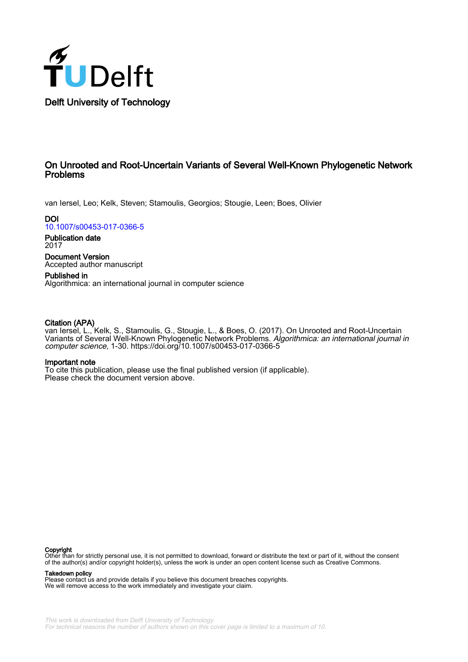

# On Unrooted and Root-Uncertain Variants of Several Well-Known Phylogenetic Network Problems

van Iersel, Leo; Kelk, Steven; Stamoulis, Georgios; Stougie, Leen; Boes, Olivier

**DOI** [10.1007/s00453-017-0366-5](https://doi.org/10.1007/s00453-017-0366-5)

Publication date 2017

Document Version Accepted author manuscript

Published in Algorithmica: an international journal in computer science

# Citation (APA)

van Iersel, L., Kelk, S., Stamoulis, G., Stougie, L., & Boes, O. (2017). On Unrooted and Root-Uncertain Variants of Several Well-Known Phylogenetic Network Problems. Algorithmica: an international journal in computer science, 1-30.<https://doi.org/10.1007/s00453-017-0366-5>

## Important note

To cite this publication, please use the final published version (if applicable). Please check the document version above.

### Copyright

Other than for strictly personal use, it is not permitted to download, forward or distribute the text or part of it, without the consent of the author(s) and/or copyright holder(s), unless the work is under an open content license such as Creative Commons.

### Takedown policy

Please contact us and provide details if you believe this document breaches copyrights. We will remove access to the work immediately and investigate your claim.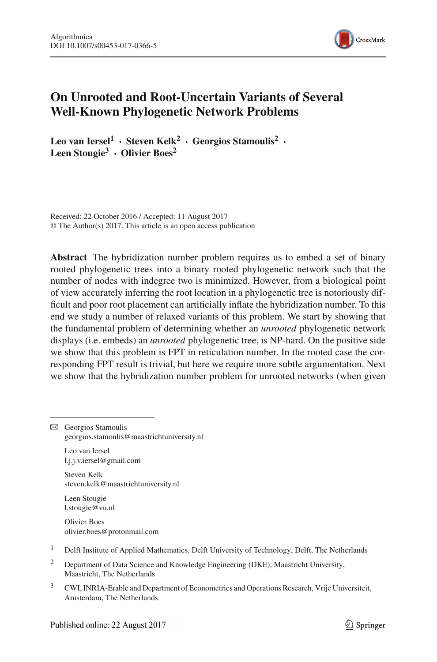

# **On Unrooted and Root-Uncertain Variants of Several Well-Known Phylogenetic Network Problems**

**Leo van Iersel<sup>1</sup> · Steven Kelk2 · Georgios Stamoulis<sup>2</sup> · Leen Stougie3 · Olivier Boes<sup>2</sup>**

Received: 22 October 2016 / Accepted: 11 August 2017 © The Author(s) 2017. This article is an open access publication

**Abstract** The hybridization number problem requires us to embed a set of binary rooted phylogenetic trees into a binary rooted phylogenetic network such that the number of nodes with indegree two is minimized. However, from a biological point of view accurately inferring the root location in a phylogenetic tree is notoriously difficult and poor root placement can artificially inflate the hybridization number. To this end we study a number of relaxed variants of this problem. We start by showing that the fundamental problem of determining whether an *unrooted* phylogenetic network displays (i.e. embeds) an *unrooted* phylogenetic tree, is NP-hard. On the positive side we show that this problem is FPT in reticulation number. In the rooted case the corresponding FPT result is trivial, but here we require more subtle argumentation. Next we show that the hybridization number problem for unrooted networks (when given

 $\boxtimes$  Georgios Stamoulis georgios.stamoulis@maastrichtuniversity.nl

Leo van Iersel l.j.j.v.iersel@gmail.com

Steven Kelk steven.kelk@maastrichtuniversity.nl

Leen Stougie l.stougie@vu.nl

Olivier Boes olivier.boes@protonmail.com

- <sup>1</sup> Delft Institute of Applied Mathematics, Delft University of Technology, Delft, The Netherlands
- <sup>2</sup> Department of Data Science and Knowledge Engineering (DKE), Maastricht University, Maastricht, The Netherlands
- <sup>3</sup> CWI, INRIA-Erable and Department of Econometrics and Operations Research, Vrije Universiteit, Amsterdam, The Netherlands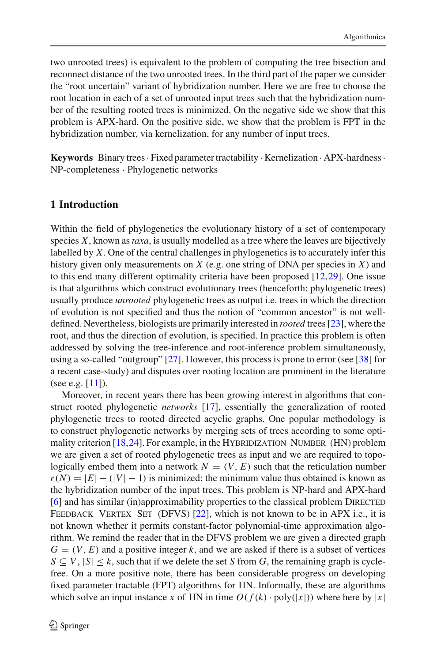two unrooted trees) is equivalent to the problem of computing the tree bisection and reconnect distance of the two unrooted trees. In the third part of the paper we consider the "root uncertain" variant of hybridization number. Here we are free to choose the root location in each of a set of unrooted input trees such that the hybridization number of the resulting rooted trees is minimized. On the negative side we show that this problem is APX-hard. On the positive side, we show that the problem is FPT in the hybridization number, via kernelization, for any number of input trees.

**Keywords** Binary trees· Fixed parameter tractability · Kernelization · APX-hardness· NP-completeness · Phylogenetic networks

# **1 Introduction**

Within the field of phylogenetics the evolutionary history of a set of contemporary species *X*, known as*taxa*, is usually modelled as a tree where the leaves are bijectively labelled by *X*. One of the central challenges in phylogenetics is to accurately infer this history given only measurements on *X* (e.g. one string of DNA per species in *X*) and to this end many different optimality criteria have been proposed [\[12](#page-29-0)[,29](#page-29-1)]. One issue is that algorithms which construct evolutionary trees (henceforth: phylogenetic trees) usually produce *unrooted* phylogenetic trees as output i.e. trees in which the direction of evolution is not specified and thus the notion of "common ancestor" is not welldefined. Nevertheless, biologists are primarily interested in *rooted* trees [\[23\]](#page-29-2), where the root, and thus the direction of evolution, is specified. In practice this problem is often addressed by solving the tree-inference and root-inference problem simultaneously, using a so-called "outgroup" [\[27\]](#page-29-3). However, this process is prone to error (see [\[38](#page-30-0)] for a recent case-study) and disputes over rooting location are prominent in the literature (see e.g.  $[11]$  $[11]$ ).

Moreover, in recent years there has been growing interest in algorithms that construct rooted phylogenetic *networks* [\[17](#page-29-5)], essentially the generalization of rooted phylogenetic trees to rooted directed acyclic graphs. One popular methodology is to construct phylogenetic networks by merging sets of trees according to some optimality criterion  $[18,24]$  $[18,24]$ . For example, in the HYBRIDIZATION NUMBER (HN) problem we are given a set of rooted phylogenetic trees as input and we are required to topologically embed them into a network  $N = (V, E)$  such that the reticulation number  $r(N) = |E| - (|V| - 1)$  is minimized; the minimum value thus obtained is known as the hybridization number of the input trees. This problem is NP-hard and APX-hard [\[6](#page-28-0)] and has similar (in)approximability properties to the classical problem DIRECTED FEEDBACK VERTEX SET (DFVS) [\[22](#page-29-8)], which is not known to be in APX i.e., it is not known whether it permits constant-factor polynomial-time approximation algorithm. We remind the reader that in the DFVS problem we are given a directed graph  $G = (V, E)$  and a positive integer k, and we are asked if there is a subset of vertices  $S \subseteq V$ ,  $|S| \leq k$ , such that if we delete the set *S* from *G*, the remaining graph is cyclefree. On a more positive note, there has been considerable progress on developing fixed parameter tractable (FPT) algorithms for HN. Informally, these are algorithms which solve an input instance *x* of HN in time  $O(f(k) \cdot \text{poly}(|x|))$  where here by |*x*|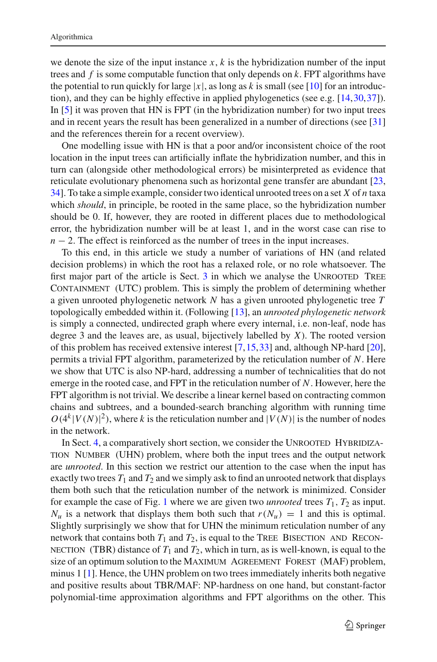we denote the size of the input instance  $x$ ,  $k$  is the hybridization number of the input trees and *f* is some computable function that only depends on *k*. FPT algorithms have the potential to run quickly for large  $|x|$ , as long as *k* is small (see [\[10](#page-29-9)] for an introduction), and they can be highly effective in applied phylogenetics (see e.g.  $[14,30,37]$  $[14,30,37]$  $[14,30,37]$  $[14,30,37]$ ). In [\[5\]](#page-28-1) it was proven that HN is FPT (in the hybridization number) for two input trees and in recent years the result has been generalized in a number of directions (see [\[31\]](#page-29-12) and the references therein for a recent overview).

One modelling issue with HN is that a poor and/or inconsistent choice of the root location in the input trees can artificially inflate the hybridization number, and this in turn can (alongside other methodological errors) be misinterpreted as evidence that reticulate evolutionary phenomena such as horizontal gene transfer are abundant [\[23,](#page-29-2) [34\]](#page-29-13). To take a simple example, consider two identical unrooted trees on a set *X* of *n* taxa which *should*, in principle, be rooted in the same place, so the hybridization number should be 0. If, however, they are rooted in different places due to methodological error, the hybridization number will be at least 1, and in the worst case can rise to  $n-2$ . The effect is reinforced as the number of trees in the input increases.

To this end, in this article we study a number of variations of HN (and related decision problems) in which the root has a relaxed role, or no role whatsoever. The first major part of the article is Sect.  $3$  in which we analyse the UNROOTED TREE CONTAINMENT (UTC) problem. This is simply the problem of determining whether a given unrooted phylogenetic network *N* has a given unrooted phylogenetic tree *T* topologically embedded within it. (Following [\[13\]](#page-29-14), an *unrooted phylogenetic network* is simply a connected, undirected graph where every internal, i.e. non-leaf, node has degree 3 and the leaves are, as usual, bijectively labelled by *X*). The rooted version of this problem has received extensive interest [\[7](#page-29-15),[15,](#page-29-16)[33\]](#page-29-17) and, although NP-hard [\[20](#page-29-18)], permits a trivial FPT algorithm, parameterized by the reticulation number of *N*. Here we show that UTC is also NP-hard, addressing a number of technicalities that do not emerge in the rooted case, and FPT in the reticulation number of *N*. However, here the FPT algorithm is not trivial. We describe a linear kernel based on contracting common chains and subtrees, and a bounded-search branching algorithm with running time  $O(4^k |V(N)|^2)$ , where *k* is the reticulation number and  $|V(N)|$  is the number of nodes in the network.

In Sect. [4,](#page-16-0) a comparatively short section, we consider the UNROOTED HYBRIDIZAtion Number (UHN) problem, where both the input trees and the output network are *unrooted*. In this section we restrict our attention to the case when the input has exactly two trees  $T_1$  and  $T_2$  and we simply ask to find an unrooted network that displays them both such that the reticulation number of the network is minimized. Consider for example the case of Fig. [1](#page-4-0) where we are given two *unrooted* trees  $T_1$ ,  $T_2$  as input.  $N_u$  is a network that displays them both such that  $r(N_u) = 1$  and this is optimal. Slightly surprisingly we show that for UHN the minimum reticulation number of any network that contains both  $T_1$  and  $T_2$ , is equal to the TREE BISECTION AND RECON-NECTION (TBR) distance of  $T_1$  and  $T_2$ , which in turn, as is well-known, is equal to the size of an optimum solution to the MAXIMUM AGREEMENT FOREST (MAF) problem, minus 1 [\[1](#page-28-2)]. Hence, the UHN problem on two trees immediately inherits both negative and positive results about TBR/MAF: NP-hardness on one hand, but constant-factor polynomial-time approximation algorithms and FPT algorithms on the other. This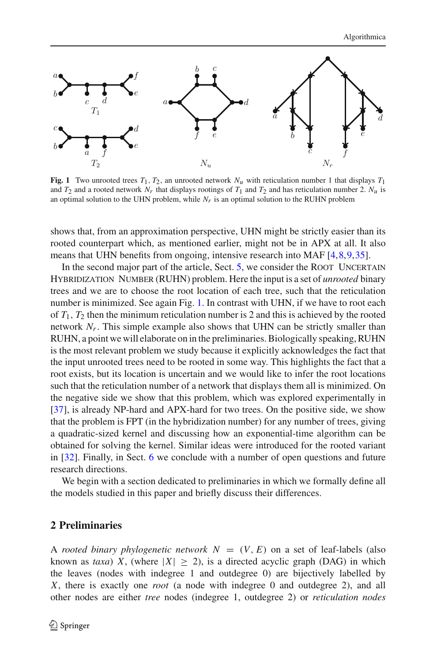

<span id="page-4-0"></span>**Fig. 1** Two unrooted trees  $T_1$ ,  $T_2$ , an unrooted network  $N_u$  with reticulation number 1 that displays  $T_1$ and  $T_2$  and a rooted network  $N_r$  that displays rootings of  $T_1$  and  $T_2$  and has reticulation number 2.  $N_u$  is an optimal solution to the UHN problem, while  $N_r$  is an optimal solution to the RUHN problem

shows that, from an approximation perspective, UHN might be strictly easier than its rooted counterpart which, as mentioned earlier, might not be in APX at all. It also means that UHN benefits from ongoing, intensive research into MAF [\[4,](#page-28-3)[8](#page-29-19)[,9](#page-29-20)[,35](#page-29-21)].

In the second major part of the article, Sect. [5,](#page-19-0) we consider the ROOT UNCERTAIN Hybridization Number (RUHN) problem. Here the input is a set of *unrooted* binary trees and we are to choose the root location of each tree, such that the reticulation number is minimized. See again Fig. [1.](#page-4-0) In contrast with UHN, if we have to root each of  $T_1$ ,  $T_2$  then the minimum reticulation number is 2 and this is achieved by the rooted network  $N_r$ . This simple example also shows that UHN can be strictly smaller than RUHN, a point we will elaborate on in the preliminaries. Biologically speaking, RUHN is the most relevant problem we study because it explicitly acknowledges the fact that the input unrooted trees need to be rooted in some way. This highlights the fact that a root exists, but its location is uncertain and we would like to infer the root locations such that the reticulation number of a network that displays them all is minimized. On the negative side we show that this problem, which was explored experimentally in [\[37](#page-30-1)], is already NP-hard and APX-hard for two trees. On the positive side, we show that the problem is FPT (in the hybridization number) for any number of trees, giving a quadratic-sized kernel and discussing how an exponential-time algorithm can be obtained for solving the kernel. Similar ideas were introduced for the rooted variant in [\[32\]](#page-29-22). Finally, in Sect. [6](#page-25-0) we conclude with a number of open questions and future research directions.

We begin with a section dedicated to preliminaries in which we formally define all the models studied in this paper and briefly discuss their differences.

# **2 Preliminaries**

A *rooted binary phylogenetic network*  $N = (V, E)$  on a set of leaf-labels (also known as *taxa*) *X*, (where  $|X| \ge 2$ ), is a directed acyclic graph (DAG) in which the leaves (nodes with indegree 1 and outdegree 0) are bijectively labelled by *X*, there is exactly one *root* (a node with indegree 0 and outdegree 2), and all other nodes are either *tree* nodes (indegree 1, outdegree 2) or *reticulation nodes*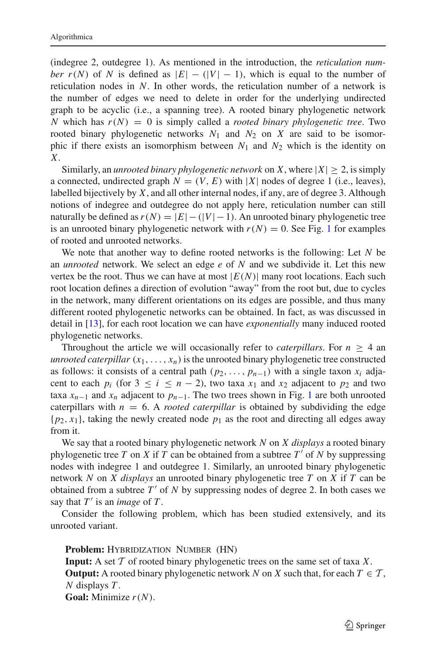(indegree 2, outdegree 1). As mentioned in the introduction, the *reticulation number*  $r(N)$  of *N* is defined as  $|E| - (|V| - 1)$ , which is equal to the number of reticulation nodes in *N*. In other words, the reticulation number of a network is the number of edges we need to delete in order for the underlying undirected graph to be acyclic (i.e., a spanning tree). A rooted binary phylogenetic network *N* which has  $r(N) = 0$  is simply called a *rooted binary phylogenetic tree*. Two rooted binary phylogenetic networks  $N_1$  and  $N_2$  on  $X$  are said to be isomorphic if there exists an isomorphism between  $N_1$  and  $N_2$  which is the identity on *X*.

Similarly, an *unrooted binary phylogenetic network* on *X*, where  $|X| \ge 2$ , is simply a connected, undirected graph  $N = (V, E)$  with |*X*| nodes of degree 1 (i.e., leaves), labelled bijectively by *X*, and all other internal nodes, if any, are of degree 3. Although notions of indegree and outdegree do not apply here, reticulation number can still naturally be defined as  $r(N) = |E| - (|V| - 1)$ . An unrooted binary phylogenetic tree is an unrooted binary phylogenetic network with  $r(N) = 0$ . See Fig. [1](#page-4-0) for examples of rooted and unrooted networks.

We note that another way to define rooted networks is the following: Let *N* be an *unrooted* network. We select an edge *e* of *N* and we subdivide it. Let this new vertex be the root. Thus we can have at most  $|E(N)|$  many root locations. Each such root location defines a direction of evolution "away" from the root but, due to cycles in the network, many different orientations on its edges are possible, and thus many different rooted phylogenetic networks can be obtained. In fact, as was discussed in detail in [\[13](#page-29-14)], for each root location we can have *exponentially* many induced rooted phylogenetic networks.

Throughout the article we will occasionally refer to *caterpillars*. For  $n \geq 4$  an *unrooted caterpillar*  $(x_1, \ldots, x_n)$  is the unrooted binary phylogenetic tree constructed as follows: it consists of a central path  $(p_2, \ldots, p_{n-1})$  with a single taxon  $x_i$  adjacent to each  $p_i$  (for  $3 \le i \le n - 2$ ), two taxa  $x_1$  and  $x_2$  adjacent to  $p_2$  and two taxa  $x_{n-1}$  $x_{n-1}$  $x_{n-1}$  and  $x_n$  adjacent to  $p_{n-1}$ . The two trees shown in Fig. 1 are both unrooted caterpillars with  $n = 6$ . A *rooted caterpillar* is obtained by subdividing the edge  $\{p_2, x_1\}$ , taking the newly created node  $p_1$  as the root and directing all edges away from it.

We say that a rooted binary phylogenetic network *N* on *X displays* a rooted binary phylogenetic tree *T* on *X* if *T* can be obtained from a subtree  $T'$  of *N* by suppressing nodes with indegree 1 and outdegree 1. Similarly, an unrooted binary phylogenetic network *N* on *X displays* an unrooted binary phylogenetic tree *T* on *X* if *T* can be obtained from a subtree T' of N by suppressing nodes of degree 2. In both cases we say that  $T'$  is an *image* of  $T$ .

Consider the following problem, which has been studied extensively, and its unrooted variant.

Problem: HYBRIDIZATION NUMBER (HN)

**Input:** A set *T* of rooted binary phylogenetic trees on the same set of taxa *X*. **Output:** A rooted binary phylogenetic network *N* on *X* such that, for each  $T \in \mathcal{T}$ , *N* displays *T* .

**Goal:** Minimize *r*(*N*).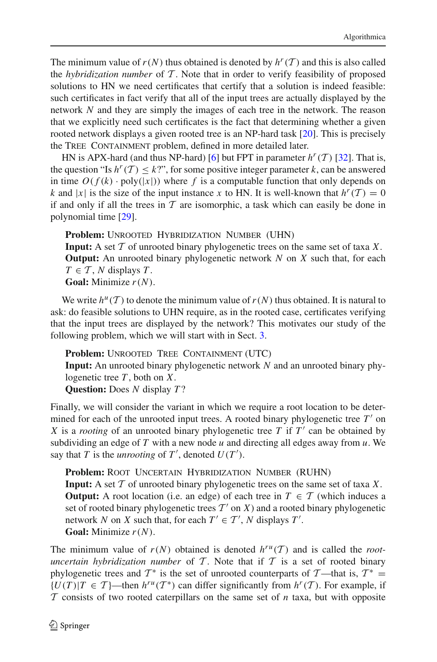The minimum value of  $r(N)$  thus obtained is denoted by  $h^r(T)$  and this is also called the *hybridization number* of *T* . Note that in order to verify feasibility of proposed solutions to HN we need certificates that certify that a solution is indeed feasible: such certificates in fact verify that all of the input trees are actually displayed by the network *N* and they are simply the images of each tree in the network. The reason that we explicitly need such certificates is the fact that determining whether a given rooted network displays a given rooted tree is an NP-hard task [\[20](#page-29-18)]. This is precisely the TREE CONTAINMENT problem, defined in more detailed later.

HN is APX-hard (and thus NP-hard) [\[6\]](#page-28-0) but FPT in parameter  $h^r(T)$  [\[32](#page-29-22)]. That is, the question "Is  $h^r(T) \leq k$ ?", for some positive integer parameter *k*, can be answered in time  $O(f(k) \cdot \text{poly}(|x|))$  where f is a computable function that only depends on *k* and |*x*| is the size of the input instance *x* to HN. It is well-known that  $h^r(T) = 0$ if and only if all the trees in  $T$  are isomorphic, a task which can easily be done in polynomial time [\[29](#page-29-1)].

Problem: UNROOTED HYBRIDIZATION NUMBER (UHN) **Input:** A set *T* of unrooted binary phylogenetic trees on the same set of taxa *X*. **Output:** An unrooted binary phylogenetic network *N* on *X* such that, for each  $T \in \mathcal{T}$ , *N* displays *T*. **Goal:** Minimize *r*(*N*).

We write  $h^{\mu}(T)$  to denote the minimum value of  $r(N)$  thus obtained. It is natural to ask: do feasible solutions to UHN require, as in the rooted case, certificates verifying that the input trees are displayed by the network? This motivates our study of the following problem, which we will start with in Sect. [3.](#page-7-0)

Problem: UNROOTED TREE CONTAINMENT (UTC) **Input:** An unrooted binary phylogenetic network *N* and an unrooted binary phylogenetic tree *T* , both on *X*. **Question:** Does *N* display *T* ?

Finally, we will consider the variant in which we require a root location to be determined for each of the unrooted input trees. A rooted binary phylogenetic tree  $T'$  on *X* is a *rooting* of an unrooted binary phylogenetic tree *T* if  $T'$  can be obtained by subdividing an edge of *T* with a new node *u* and directing all edges away from *u*. We say that *T* is the *unrooting* of  $T'$ , denoted  $U(T')$ .

**Problem:** Root Uncertain Hybridization Number (RUHN) **Input:** A set *T* of unrooted binary phylogenetic trees on the same set of taxa *X*. **Output:** A root location (i.e. an edge) of each tree in  $T \in \mathcal{T}$  (which induces a set of rooted binary phylogenetic trees  $T'$  on  $X$ ) and a rooted binary phylogenetic network *N* on *X* such that, for each  $T' \in T'$ , *N* displays  $T'$ . **Goal:** Minimize *r*(*N*).

The minimum value of  $r(N)$  obtained is denoted  $h^{ru}(T)$  and is called the *rootuncertain hybridization number* of  $T$ . Note that if  $T$  is a set of rooted binary phylogenetic trees and  $T^*$  is the set of unrooted counterparts of  $T$ —that is,  $T^*$  =  $\{U(T)|T \in T\}$ —then  $h^{ru}(T^*)$  can differ significantly from  $h^r(T)$ . For example, if *T* consists of two rooted caterpillars on the same set of *n* taxa, but with opposite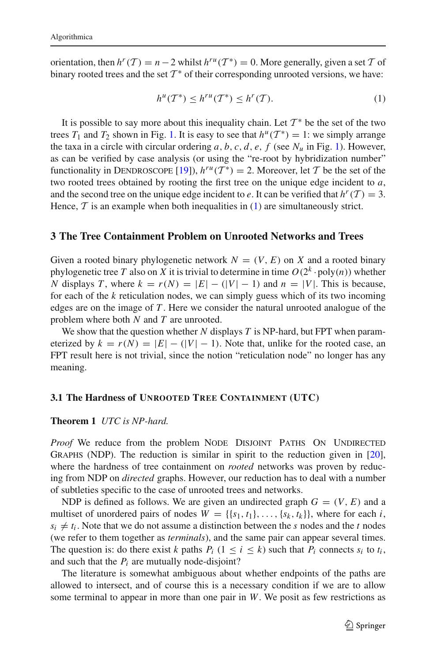orientation, then  $h^r(T) = n - 2$  whilst  $h^{ru}(T^*) = 0$ . More generally, given a set  $T$  of binary rooted trees and the set  $T^*$  of their corresponding unrooted versions, we have:

<span id="page-7-1"></span>
$$
h^{u}(\mathcal{T}^*) \leq h^{ru}(\mathcal{T}^*) \leq h^{r}(\mathcal{T}).\tag{1}
$$

It is possible to say more about this inequality chain. Let  $\mathcal{T}^*$  be the set of the two trees  $T_1$  and  $T_2$  shown in Fig. [1.](#page-4-0) It is easy to see that  $h^u(T^*) = 1$ : we simply arrange the taxa in a circle with circular ordering  $a, b, c, d, e, f$  (see  $N_u$  in Fig. [1\)](#page-4-0). However, as can be verified by case analysis (or using the "re-root by hybridization number" functionality in DENDROSCOPE [\[19\]](#page-29-23)),  $h^{ru}(T^*) = 2$ . Moreover, let T be the set of the two rooted trees obtained by rooting the first tree on the unique edge incident to *a*, and the second tree on the unique edge incident to *e*. It can be verified that  $h^r(T) = 3$ . Hence,  $\mathcal T$  is an example when both inequalities in  $(1)$  are simultaneously strict.

## <span id="page-7-0"></span>**3 The Tree Containment Problem on Unrooted Networks and Trees**

Given a rooted binary phylogenetic network  $N = (V, E)$  on X and a rooted binary phylogenetic tree *T* also on *X* it is trivial to determine in time  $O(2^k \cdot \text{poly}(n))$  whether *N* displays *T*, where  $k = r(N) = |E| - (|V| - 1)$  and  $n = |V|$ . This is because, for each of the *k* reticulation nodes, we can simply guess which of its two incoming edges are on the image of *T* . Here we consider the natural unrooted analogue of the problem where both *N* and *T* are unrooted.

We show that the question whether *N* displays *T* is NP-hard, but FPT when parameterized by  $k = r(N) = |E| - (|V| - 1)$ . Note that, unlike for the rooted case, an FPT result here is not trivial, since the notion "reticulation node" no longer has any meaning.

### **3.1 The Hardness of UNROOTED TREE CONTAINMENT (UTC)**

### **Theorem 1** *UTC is NP-hard.*

*Proof* We reduce from the problem NODE DISJOINT PATHS ON UNDIRECTED Graphs (NDP). The reduction is similar in spirit to the reduction given in [\[20](#page-29-18)], where the hardness of tree containment on *rooted* networks was proven by reducing from NDP on *directed* graphs. However, our reduction has to deal with a number of subtleties specific to the case of unrooted trees and networks.

NDP is defined as follows. We are given an undirected graph  $G = (V, E)$  and a multiset of unordered pairs of nodes  $W = \{\{s_1, t_1\}, \ldots, \{s_k, t_k\}\}\)$ , where for each *i*,  $s_i \neq t_i$ . Note that we do not assume a distinction between the *s* nodes and the *t* nodes (we refer to them together as *terminals*), and the same pair can appear several times. The question is: do there exist *k* paths  $P_i$  ( $1 \le i \le k$ ) such that  $P_i$  connects  $s_i$  to  $t_i$ , and such that the  $P_i$  are mutually node-disjoint?

The literature is somewhat ambiguous about whether endpoints of the paths are allowed to intersect, and of course this is a necessary condition if we are to allow some terminal to appear in more than one pair in *W*. We posit as few restrictions as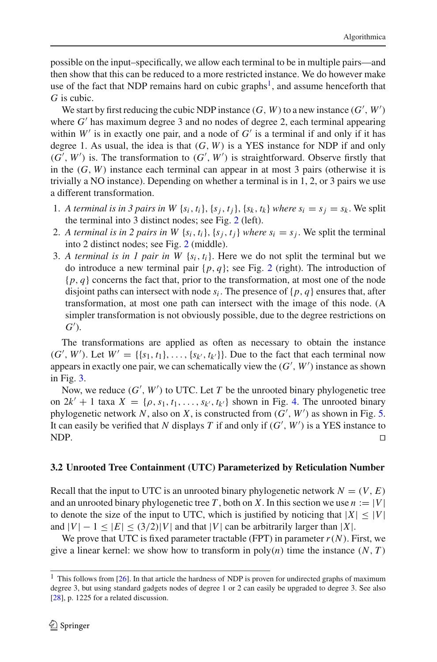possible on the input–specifically, we allow each terminal to be in multiple pairs—and then show that this can be reduced to a more restricted instance. We do however make use of the fact that NDP remains hard on cubic graphs<sup>[1](#page-8-0)</sup>, and assume henceforth that *G* is cubic.

We start by first reducing the cubic NDP instance  $(G, W)$  to a new instance  $(G', W')$ where  $G'$  has maximum degree 3 and no nodes of degree 2, each terminal appearing within  $W'$  is in exactly one pair, and a node of  $G'$  is a terminal if and only if it has degree 1. As usual, the idea is that (*G*, *W*) is a YES instance for NDP if and only  $(G', W')$  is. The transformation to  $(G', W')$  is straightforward. Observe firstly that in the  $(G, W)$  instance each terminal can appear in at most 3 pairs (otherwise it is trivially a NO instance). Depending on whether a terminal is in 1, 2, or 3 pairs we use a different transformation.

- 1. *A terminal is in 3 pairs in W*  $\{s_i, t_i\}$ ,  $\{s_i, t_i\}$ ,  $\{s_k, t_k\}$  *where*  $s_i = s_j = s_k$ . We split the terminal into 3 distinct nodes; see Fig. [2](#page-9-0) (left).
- 2. *A terminal is in 2 pairs in W*  $\{s_i, t_i\}, \{s_i, t_i\}$  *where*  $s_i = s_j$ . We split the terminal into 2 distinct nodes; see Fig. [2](#page-9-0) (middle).
- 3. *A terminal is in 1 pair in W*  $\{s_i, t_i\}$ . Here we do not split the terminal but we do introduce a new terminal pair  $\{p, q\}$ ; see Fig. [2](#page-9-0) (right). The introduction of {*p*, *q*} concerns the fact that, prior to the transformation, at most one of the node disjoint paths can intersect with node  $s_i$ . The presence of  $\{p, q\}$  ensures that, after transformation, at most one path can intersect with the image of this node. (A simpler transformation is not obviously possible, due to the degree restrictions on *G* ).

The transformations are applied as often as necessary to obtain the instance  $(G', W')$ . Let  $W' = \{\{s_1, t_1\}, \ldots, \{s_{k'}, t_{k'}\}\}\.$  Due to the fact that each terminal now appears in exactly one pair, we can schematically view the  $(G', W')$  instance as shown in Fig. [3.](#page-9-1)

Now, we reduce  $(G', W')$  to UTC. Let  $T$  be the unrooted binary phylogenetic tree on  $2k' + 1$  taxa  $X = \{ \rho, s_1, t_1, \ldots, s_{k'}, t_{k'} \}$  shown in Fig. [4.](#page-10-0) The unrooted binary phylogenetic network *N*, also on *X*, is constructed from (*G* , *W* ) as shown in Fig. [5.](#page-10-1) It can easily be verified that *N* displays *T* if and only if (*G* , *W* ) is a YES instance to NDP.  $\Box$ 

# <span id="page-8-1"></span>**3.2 Unrooted Tree Containment (UTC) Parameterized by Reticulation Number**

Recall that the input to UTC is an unrooted binary phylogenetic network  $N = (V, E)$ and an unrooted binary phylogenetic tree *T*, both on *X*. In this section we use  $n := |V|$ to denote the size of the input to UTC, which is justified by noticing that  $|X| \leq |V|$ and  $|V| - 1 \leq |E| \leq (3/2)|V|$  and that  $|V|$  can be arbitrarily larger than  $|X|$ .

We prove that UTC is fixed parameter tractable (FPT) in parameter  $r(N)$ . First, we give a linear kernel: we show how to transform in  $poly(n)$  time the instance  $(N, T)$ 

<span id="page-8-0"></span> $1$  This follows from [\[26](#page-29-24)]. In that article the hardness of NDP is proven for undirected graphs of maximum degree 3, but using standard gadgets nodes of degree 1 or 2 can easily be upgraded to degree 3. See also [\[28](#page-29-25)], p. 1225 for a related discussion.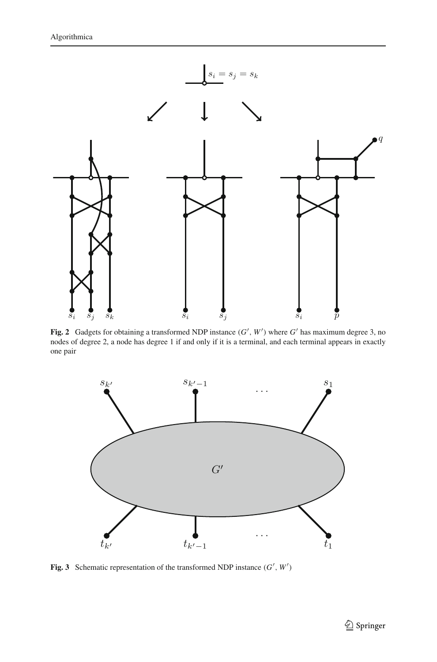

<span id="page-9-0"></span>**Fig. 2** Gadgets for obtaining a transformed NDP instance  $(G', W')$  where  $G'$  has maximum degree 3, no nodes of degree 2, a node has degree 1 if and only if it is a terminal, and each terminal appears in exactly one pair



<span id="page-9-1"></span>**Fig. 3** Schematic representation of the transformed NDP instance  $(G', W')$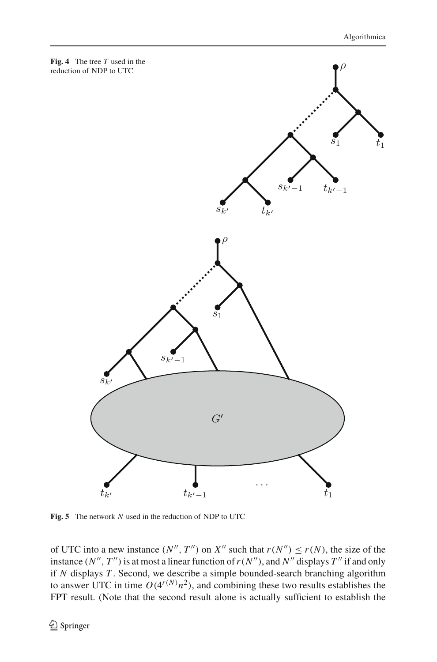<span id="page-10-0"></span>

<span id="page-10-1"></span>**Fig. 5** The network *N* used in the reduction of NDP to UTC

of UTC into a new instance  $(N'', T'')$  on  $X''$  such that  $r(N'') \le r(N)$ , the size of the instance  $(N'', T'')$  is at most a linear function of  $r(N'')$ , and  $N''$  displays  $T''$  if and only if *N* displays *T* . Second, we describe a simple bounded-search branching algorithm to answer UTC in time  $O(4^{r(N)}n^2)$ , and combining these two results establishes the FPT result. (Note that the second result alone is actually sufficient to establish the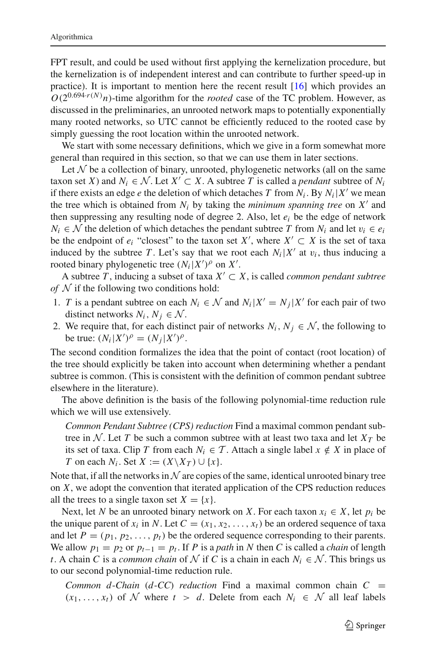FPT result, and could be used without first applying the kernelization procedure, but the kernelization is of independent interest and can contribute to further speed-up in practice). It is important to mention here the recent result  $[16]$  which provides an  $O(2^{0.694 \cdot r(N)}n)$ -time algorithm for the *rooted* case of the TC problem. However, as discussed in the preliminaries, an unrooted network maps to potentially exponentially many rooted networks, so UTC cannot be efficiently reduced to the rooted case by simply guessing the root location within the unrooted network.

We start with some necessary definitions, which we give in a form somewhat more general than required in this section, so that we can use them in later sections.

Let  $N$  be a collection of binary, unrooted, phylogenetic networks (all on the same taxon set *X*) and  $N_i \in \mathcal{N}$ . Let  $X' \subset X$ . A subtree *T* is called a *pendant* subtree of  $N_i$ if there exists an edge *e* the deletion of which detaches *T* from  $N_i$ . By  $N_i|X'$  we mean the tree which is obtained from  $N_i$  by taking the *minimum spanning tree* on  $X'$  and then suppressing any resulting node of degree 2. Also, let *ei* be the edge of network *N<sub>i</sub>* ∈ *N* the deletion of which detaches the pendant subtree *T* from  $N_i$  and let  $v_i$  ∈  $e_i$ be the endpoint of  $e_i$  "closest" to the taxon set *X'*, where *X'* ⊂ *X* is the set of taxa induced by the subtree *T*. Let's say that we root each  $N_i|X'$  at  $v_i$ , thus inducing a rooted binary phylogenetic tree  $(N_i|X')^{\rho}$  on *X'*.

A subtree *T*, inducing a subset of taxa  $X' ⊂ X$ , is called *common pendant subtree of N* if the following two conditions hold:

- 1. *T* is a pendant subtree on each  $N_i \in \mathcal{N}$  and  $N_i|X' = N_i|X'$  for each pair of two distinct networks  $N_i$ ,  $N_j \in \mathcal{N}$ .
- 2. We require that, for each distinct pair of networks  $N_i$ ,  $N_j \in \mathcal{N}$ , the following to be true:  $(N_i|X')^{\rho} = (N_j|X')^{\rho}$ .

The second condition formalizes the idea that the point of contact (root location) of the tree should explicitly be taken into account when determining whether a pendant subtree is common. (This is consistent with the definition of common pendant subtree elsewhere in the literature).

The above definition is the basis of the following polynomial-time reduction rule which we will use extensively.

*Common Pendant Subtree (CPS) reduction* Find a maximal common pendant subtree in  $N$ . Let *T* be such a common subtree with at least two taxa and let  $X_T$  be its set of taxa. Clip *T* from each  $N_i \in T$ . Attach a single label  $x \notin X$  in place of *T* on each  $N_i$ . Set  $X := (X \setminus X_T) \cup \{x\}$ .

Note that, if all the networks in  $\mathcal N$  are copies of the same, identical unrooted binary tree on *X*, we adopt the convention that iterated application of the CPS reduction reduces all the trees to a single taxon set  $X = \{x\}.$ 

Next, let *N* be an unrooted binary network on *X*. For each taxon  $x_i \in X$ , let  $p_i$  be the unique parent of  $x_i$  in N. Let  $C = (x_1, x_2, \ldots, x_t)$  be an ordered sequence of taxa and let  $P = (p_1, p_2, \ldots, p_t)$  be the ordered sequence corresponding to their parents. We allow  $p_1 = p_2$  or  $p_{t-1} = p_t$ . If *P* is a *path* in *N* then *C* is called a *chain* of length *t*. A chain *C* is a *common chain* of *N* if *C* is a chain in each  $N_i \in \mathcal{N}$ . This brings us to our second polynomial-time reduction rule.

*Common d*-*Chain* (*d*-*CC*) *reduction* Find a maximal common chain  $C =$  $(x_1, \ldots, x_t)$  of  $N$  where  $t > d$ . Delete from each  $N_i \in \mathcal{N}$  all leaf labels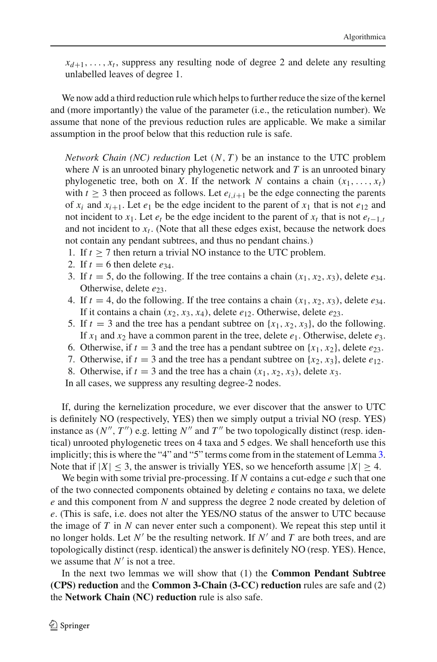$x_{d+1}, \ldots, x_t$ , suppress any resulting node of degree 2 and delete any resulting unlabelled leaves of degree 1.

We now add a third reduction rule which helps to further reduce the size of the kernel and (more importantly) the value of the parameter (i.e., the reticulation number). We assume that none of the previous reduction rules are applicable. We make a similar assumption in the proof below that this reduction rule is safe.

*Network Chain (NC) reduction* Let (*N*, *T* ) be an instance to the UTC problem where *N* is an unrooted binary phylogenetic network and *T* is an unrooted binary phylogenetic tree, both on *X*. If the network *N* contains a chain  $(x_1, \ldots, x_t)$ with  $t \geq 3$  then proceed as follows. Let  $e_{i,i+1}$  be the edge connecting the parents of  $x_i$  and  $x_{i+1}$ . Let  $e_1$  be the edge incident to the parent of  $x_1$  that is not  $e_{12}$  and not incident to *x*<sub>1</sub>. Let  $e_t$  be the edge incident to the parent of  $x_t$  that is not  $e_{t-1,t}$ and not incident to  $x_t$ . (Note that all these edges exist, because the network does not contain any pendant subtrees, and thus no pendant chains.)

- 1. If  $t \ge 7$  then return a trivial NO instance to the UTC problem.
- 2. If  $t = 6$  then delete  $e_{34}$ .
- 3. If  $t = 5$ , do the following. If the tree contains a chain  $(x_1, x_2, x_3)$ , delete  $e_{34}$ . Otherwise, delete  $e_{23}$ .
- 4. If  $t = 4$ , do the following. If the tree contains a chain  $(x_1, x_2, x_3)$ , delete  $e_{34}$ . If it contains a chain  $(x_2, x_3, x_4)$ , delete  $e_{12}$ . Otherwise, delete  $e_{23}$ .
- 5. If  $t = 3$  and the tree has a pendant subtree on  $\{x_1, x_2, x_3\}$ , do the following. If  $x_1$  and  $x_2$  have a common parent in the tree, delete  $e_1$ . Otherwise, delete  $e_3$ .
- 6. Otherwise, if  $t = 3$  and the tree has a pendant subtree on  $\{x_1, x_2\}$ , delete  $e_{23}$ .
- 7. Otherwise, if  $t = 3$  and the tree has a pendant subtree on  $\{x_2, x_3\}$ , delete  $e_{12}$ .

8. Otherwise, if  $t = 3$  and the tree has a chain  $(x_1, x_2, x_3)$ , delete  $x_3$ .

In all cases, we suppress any resulting degree-2 nodes.

If, during the kernelization procedure, we ever discover that the answer to UTC is definitely NO (respectively, YES) then we simply output a trivial NO (resp. YES) instance as  $(N'', T'')$  e.g. letting  $N''$  and  $T''$  be two topologically distinct (resp. identical) unrooted phylogenetic trees on 4 taxa and 5 edges. We shall henceforth use this implicitly; this is where the "4" and "5" terms come from in the statement of Lemma [3.](#page-15-0) Note that if  $|X| < 3$ , the answer is trivially YES, so we henceforth assume  $|X| > 4$ .

We begin with some trivial pre-processing. If *N* contains a cut-edge *e* such that one of the two connected components obtained by deleting *e* contains no taxa, we delete *e* and this component from *N* and suppress the degree 2 node created by deletion of *e*. (This is safe, i.e. does not alter the YES/NO status of the answer to UTC because the image of  $T$  in  $N$  can never enter such a component). We repeat this step until it no longer holds. Let  $N'$  be the resulting network. If  $N'$  and  $T$  are both trees, and are topologically distinct (resp. identical) the answer is definitely NO (resp. YES). Hence, we assume that  $N'$  is not a tree.

In the next two lemmas we will show that (1) the **Common Pendant Subtree (CPS) reduction** and the **Common 3-Chain (3-CC) reduction** rules are safe and (2) the **Network Chain (NC) reduction** rule is also safe.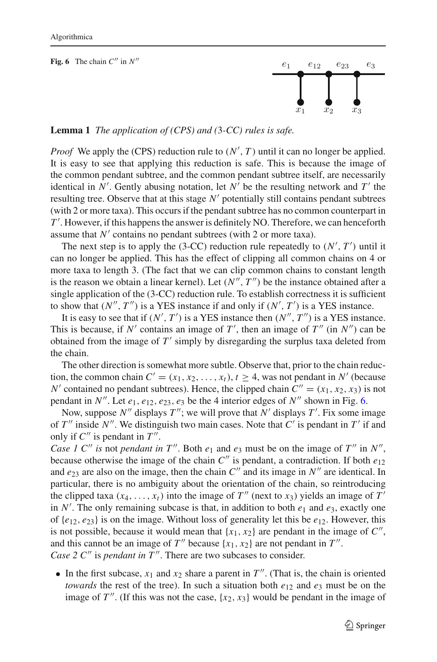<span id="page-13-0"></span>

**Lemma 1** *The application of (CPS) and (*3*-CC) rules is safe.*

*Proof* We apply the (CPS) reduction rule to  $(N', T)$  until it can no longer be applied. It is easy to see that applying this reduction is safe. This is because the image of the common pendant subtree, and the common pendant subtree itself, are necessarily identical in  $N'$ . Gently abusing notation, let  $N'$  be the resulting network and  $T'$  the resulting tree. Observe that at this stage N' potentially still contains pendant subtrees (with 2 or more taxa). This occurs if the pendant subtree has no common counterpart in *T* . However, if this happens the answer is definitely NO. Therefore, we can henceforth assume that  $N'$  contains no pendant subtrees (with 2 or more taxa).

The next step is to apply the  $(3-CC)$  reduction rule repeatedly to  $(N', T')$  until it can no longer be applied. This has the effect of clipping all common chains on 4 or more taxa to length 3. (The fact that we can clip common chains to constant length is the reason we obtain a linear kernel). Let  $(N'', T'')$  be the instance obtained after a single application of the (3-CC) reduction rule. To establish correctness it is sufficient to show that  $(N'', T'')$  is a YES instance if and only if  $(N', T')$  is a YES instance.

It is easy to see that if  $(N', T')$  is a YES instance then  $(N'', T'')$  is a YES instance. This is because, if  $N'$  contains an image of  $T'$ , then an image of  $T''$  (in  $N''$ ) can be obtained from the image of  $T'$  simply by disregarding the surplus taxa deleted from the chain.

The other direction is somewhat more subtle. Observe that, prior to the chain reduction, the common chain  $C' = (x_1, x_2, \ldots, x_t)$ ,  $t \ge 4$ , was not pendant in N' (because *N'* contained no pendant subtrees). Hence, the clipped chain  $C'' = (x_1, x_2, x_3)$  is not pendant in  $N''$ . Let  $e_1, e_{12}, e_{23}, e_3$  be the 4 interior edges of  $N''$  shown in Fig. [6.](#page-13-0)

Now, suppose N'' displays T''; we will prove that N' displays T'. Fix some image of  $T''$  inside  $N''$ . We distinguish two main cases. Note that  $C'$  is pendant in  $T'$  if and only if  $C''$  is pendant in  $T''$ .

*Case 1 C'' is* not *pendant in*  $T''$ . Both  $e_1$  and  $e_3$  must be on the image of  $T''$  in  $N''$ , because otherwise the image of the chain  $C''$  is pendant, a contradiction. If both  $e_{12}$ and  $e_{23}$  are also on the image, then the chain  $C''$  and its image in  $N''$  are identical. In particular, there is no ambiguity about the orientation of the chain, so reintroducing the clipped taxa  $(x_4, \ldots, x_t)$  into the image of  $T''$  (next to  $x_3$ ) yields an image of  $T'$ in *N* . The only remaining subcase is that, in addition to both *e*<sup>1</sup> and *e*3, exactly one of  $\{e_{12}, e_{23}\}$  is on the image. Without loss of generality let this be  $e_{12}$ . However, this is not possible, because it would mean that  $\{x_1, x_2\}$  are pendant in the image of  $C''$ , and this cannot be an image of  $T''$  because  $\{x_1, x_2\}$  are not pendant in  $T''$ . *Case 2 C*<sup>"</sup> is *pendant in T*<sup>"</sup>. There are two subcases to consider.

• In the first subcase,  $x_1$  and  $x_2$  share a parent in  $T''$ . (That is, the chain is oriented *towards* the rest of the tree). In such a situation both  $e_{12}$  and  $e_3$  must be on the image of  $T''$ . (If this was not the case,  $\{x_2, x_3\}$  would be pendant in the image of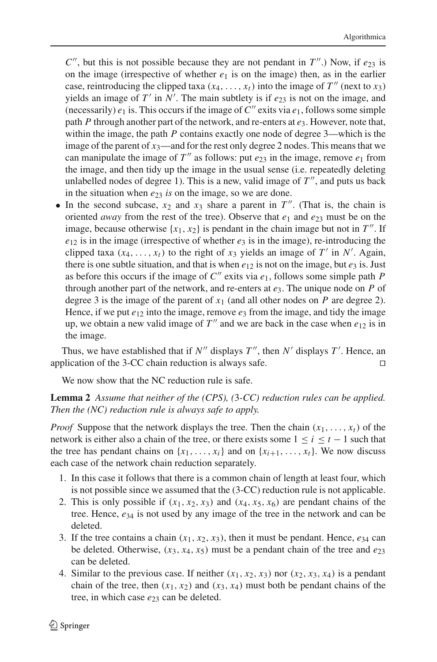$C''$ , but this is not possible because they are not pendant in  $T''$ .) Now, if  $e_{23}$  is on the image (irrespective of whether  $e_1$  is on the image) then, as in the earlier case, reintroducing the clipped taxa  $(x_4, \ldots, x_t)$  into the image of  $T''$  (next to  $x_3$ ) yields an image of  $T'$  in  $N'$ . The main subtlety is if  $e_{23}$  is not on the image, and (necessarily)  $e_1$  is. This occurs if the image of  $C''$  exits via  $e_1$ , follows some simple path *P* through another part of the network, and re-enters at *e*3. However, note that, within the image, the path *P* contains exactly one node of degree 3—which is the image of the parent of  $x_3$ —and for the rest only degree 2 nodes. This means that we can manipulate the image of  $T''$  as follows: put  $e_{23}$  in the image, remove  $e_1$  from the image, and then tidy up the image in the usual sense (i.e. repeatedly deleting unlabelled nodes of degree 1). This is a new, valid image of  $T''$ , and puts us back in the situation when  $e_{23}$  *is* on the image, so we are done.

• In the second subcase,  $x_2$  and  $x_3$  share a parent in  $T''$ . (That is, the chain is oriented *away* from the rest of the tree). Observe that  $e_1$  and  $e_{23}$  must be on the image, because otherwise  $\{x_1, x_2\}$  is pendant in the chain image but not in  $T''$ . If  $e_{12}$  is in the image (irrespective of whether  $e_3$  is in the image), re-introducing the clipped taxa  $(x_4, \ldots, x_t)$  to the right of  $x_3$  yields an image of  $T'$  in  $N'$ . Again, there is one subtle situation, and that is when  $e_{12}$  is not on the image, but  $e_3$  is. Just as before this occurs if the image of  $C''$  exits via  $e_1$ , follows some simple path P through another part of the network, and re-enters at *e*3. The unique node on *P* of degree 3 is the image of the parent of  $x_1$  (and all other nodes on  $P$  are degree 2). Hence, if we put  $e_{12}$  into the image, remove  $e_3$  from the image, and tidy the image up, we obtain a new valid image of  $T''$  and we are back in the case when  $e_{12}$  is in the image.

Thus, we have established that if  $N''$  displays  $T''$ , then  $N'$  displays  $T'$ . Hence, an application of the 3-CC chain reduction is always safe.  $\square$ 

We now show that the NC reduction rule is safe.

# **Lemma 2** *Assume that neither of the (CPS), (*3*-CC) reduction rules can be applied. Then the (NC) reduction rule is always safe to apply.*

*Proof* Suppose that the network displays the tree. Then the chain  $(x_1, \ldots, x_t)$  of the network is either also a chain of the tree, or there exists some  $1 \le i \le t - 1$  such that the tree has pendant chains on  $\{x_1, \ldots, x_i\}$  and on  $\{x_{i+1}, \ldots, x_t\}$ . We now discuss each case of the network chain reduction separately.

- 1. In this case it follows that there is a common chain of length at least four, which is not possible since we assumed that the (3-CC) reduction rule is not applicable.
- 2. This is only possible if  $(x_1, x_2, x_3)$  and  $(x_4, x_5, x_6)$  are pendant chains of the tree. Hence, *e*<sup>34</sup> is not used by any image of the tree in the network and can be deleted.
- 3. If the tree contains a chain  $(x_1, x_2, x_3)$ , then it must be pendant. Hence,  $e_{34}$  can be deleted. Otherwise,  $(x_3, x_4, x_5)$  must be a pendant chain of the tree and  $e_{23}$ can be deleted.
- 4. Similar to the previous case. If neither  $(x_1, x_2, x_3)$  nor  $(x_2, x_3, x_4)$  is a pendant chain of the tree, then  $(x_1, x_2)$  and  $(x_3, x_4)$  must both be pendant chains of the tree, in which case  $e_{23}$  can be deleted.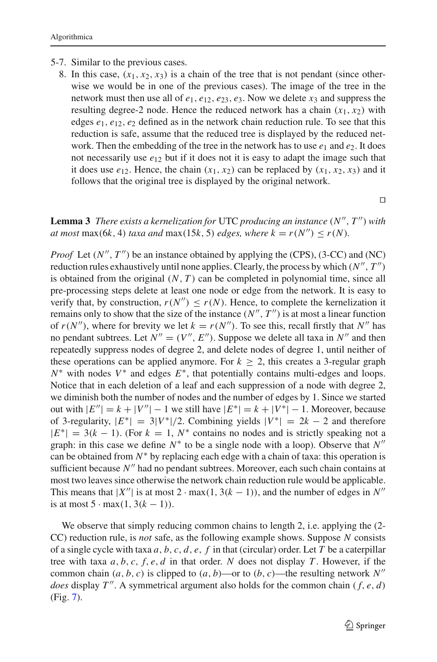- 5-7. Similar to the previous cases.
	- 8. In this case,  $(x_1, x_2, x_3)$  is a chain of the tree that is not pendant (since otherwise we would be in one of the previous cases). The image of the tree in the network must then use all of  $e_1, e_1, e_2, e_3, e_3$ . Now we delete  $x_3$  and suppress the resulting degree-2 node. Hence the reduced network has a chain  $(x_1, x_2)$  with edges  $e_1, e_{12}, e_2$  defined as in the network chain reduction rule. To see that this reduction is safe, assume that the reduced tree is displayed by the reduced network. Then the embedding of the tree in the network has to use  $e_1$  and  $e_2$ . It does not necessarily use  $e_{12}$  but if it does not it is easy to adapt the image such that it does use  $e_{12}$ . Hence, the chain  $(x_1, x_2)$  can be replaced by  $(x_1, x_2, x_3)$  and it follows that the original tree is displayed by the original network.

 $\Box$ 

<span id="page-15-0"></span>**Lemma 3** *There exists a kernelization for* UTC *producing an instance*  $(N'', T'')$  *with at most* max(6*k*, 4) *taxa and* max(15*k*, 5) *edges, where*  $k = r(N'') \le r(N)$ *.* 

*Proof* Let  $(N'', T'')$  be an instance obtained by applying the (CPS), (3-CC) and (NC) reduction rules exhaustively until none applies. Clearly, the process by which  $(N'', T'')$ is obtained from the original  $(N, T)$  can be completed in polynomial time, since all pre-processing steps delete at least one node or edge from the network. It is easy to verify that, by construction,  $r(N'') \leq r(N)$ . Hence, to complete the kernelization it remains only to show that the size of the instance  $(N'', T'')$  is at most a linear function of  $r(N'')$ , where for brevity we let  $k = r(N'')$ . To see this, recall firstly that  $N''$  has no pendant subtrees. Let  $N'' = (V'', E'')$ . Suppose we delete all taxa in  $N''$  and then repeatedly suppress nodes of degree 2, and delete nodes of degree 1, until neither of these operations can be applied anymore. For  $k > 2$ , this creates a 3-regular graph *N*<sup>∗</sup> with nodes *V*<sup>∗</sup> and edges *E*<sup>∗</sup>, that potentially contains multi-edges and loops. Notice that in each deletion of a leaf and each suppression of a node with degree 2, we diminish both the number of nodes and the number of edges by 1. Since we started out with  $|E''| = k + |V''| - 1$  we still have  $|E^*| = k + |V^*| - 1$ . Moreover, because of 3-regularity,  $|E^*| = 3|V^*|/2$ . Combining yields  $|V^*| = 2k - 2$  and therefore  $|E^*| = 3(k-1)$ . (For  $k = 1$ ,  $N^*$  contains no nodes and is strictly speaking not a graph: in this case we define  $N^*$  to be a single node with a loop). Observe that  $N''$ can be obtained from  $N^*$  by replacing each edge with a chain of taxa: this operation is sufficient because  $N''$  had no pendant subtrees. Moreover, each such chain contains at most two leaves since otherwise the network chain reduction rule would be applicable. This means that  $|X''|$  is at most 2 · max(1, 3( $k - 1$ )), and the number of edges in N'' is at most  $5 \cdot \max(1, 3(k-1))$ .

We observe that simply reducing common chains to length 2, i.e. applying the  $(2$ -CC) reduction rule, is *not* safe, as the following example shows. Suppose *N* consists of a single cycle with taxa *a*, *b*, *c*, *d*, *e*, *f* in that (circular) order. Let *T* be a caterpillar tree with taxa  $a, b, c, f, e, d$  in that order.  $N$  does not display  $T$ . However, if the common chain  $(a, b, c)$  is clipped to  $(a, b)$ —or to  $(b, c)$ —the resulting network  $N''$ *does* display  $T''$ . A symmetrical argument also holds for the common chain ( $f, e, d$ ) (Fig. [7\)](#page-16-1).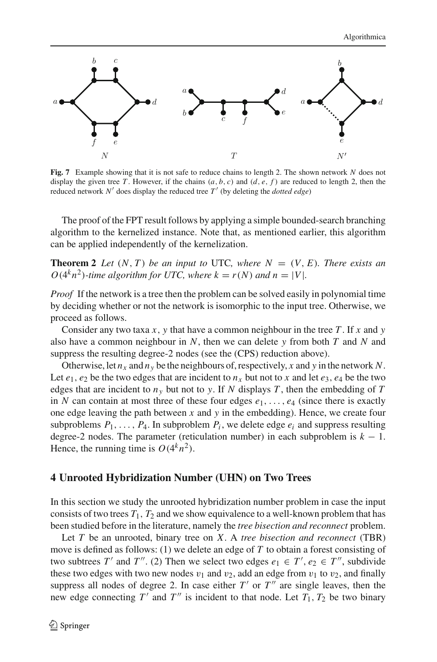

<span id="page-16-1"></span>**Fig. 7** Example showing that it is not safe to reduce chains to length 2. The shown network *N* does not display the given tree *T*. However, if the chains  $(a, b, c)$  and  $(d, e, f)$  are reduced to length 2, then the reduced network  $N'$  does display the reduced tree  $T'$  (by deleting the *dotted edge*)

The proof of the FPT result follows by applying a simple bounded-search branching algorithm to the kernelized instance. Note that, as mentioned earlier, this algorithm can be applied independently of the kernelization.

**Theorem 2** *Let*  $(N, T)$  *be an input to* UTC*, where*  $N = (V, E)$ *. There exists an*  $O(4^k n^2)$ -time algorithm for UTC, where  $k = r(N)$  and  $n = |V|$ .

*Proof* If the network is a tree then the problem can be solved easily in polynomial time by deciding whether or not the network is isomorphic to the input tree. Otherwise, we proceed as follows.

Consider any two taxa *x*, *y* that have a common neighbour in the tree *T*. If *x* and *y* also have a common neighbour in *N*, then we can delete *y* from both *T* and *N* and suppress the resulting degree-2 nodes (see the (CPS) reduction above).

Otherwise, let  $n_x$  and  $n_y$  be the neighbours of, respectively, x and y in the network N. Let  $e_1$ ,  $e_2$  be the two edges that are incident to  $n_x$  but not to x and let  $e_3$ ,  $e_4$  be the two edges that are incident to  $n<sub>y</sub>$  but not to *y*. If *N* displays *T*, then the embedding of *T* in *N* can contain at most three of these four edges  $e_1, \ldots, e_4$  (since there is exactly one edge leaving the path between *x* and *y* in the embedding). Hence, we create four subproblems  $P_1, \ldots, P_4$ . In subproblem  $P_i$ , we delete edge  $e_i$  and suppress resulting degree-2 nodes. The parameter (reticulation number) in each subproblem is  $k - 1$ . Hence, the running time is  $O(4^k n^2)$ .

### <span id="page-16-0"></span>**4 Unrooted Hybridization Number (UHN) on Two Trees**

In this section we study the unrooted hybridization number problem in case the input consists of two trees  $T_1$ ,  $T_2$  and we show equivalence to a well-known problem that has been studied before in the literature, namely the *tree bisection and reconnect* problem.

Let *T* be an unrooted, binary tree on *X*. A *tree bisection and reconnect* (TBR) move is defined as follows: (1) we delete an edge of *T* to obtain a forest consisting of two subtrees *T'* and *T"*. (2) Then we select two edges  $e_1 \in T'$ ,  $e_2 \in T''$ , subdivide these two edges with two new nodes  $v_1$  and  $v_2$ , add an edge from  $v_1$  to  $v_2$ , and finally suppress all nodes of degree 2. In case either  $T'$  or  $T''$  are single leaves, then the new edge connecting  $T'$  and  $T''$  is incident to that node. Let  $T_1, T_2$  be two binary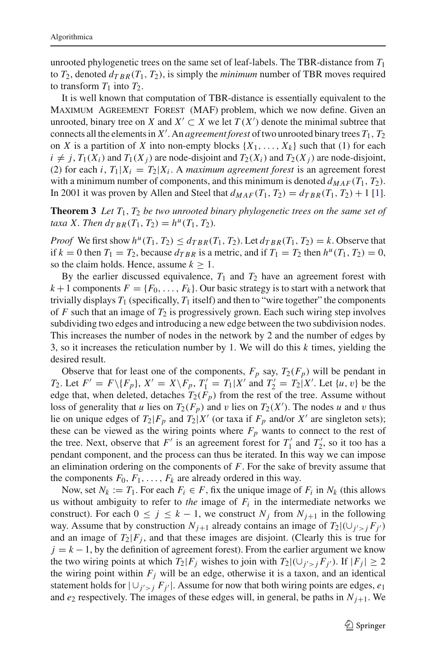unrooted phylogenetic trees on the same set of leaf-labels. The TBR-distance from *T*<sup>1</sup> to  $T_2$ , denoted  $d_{TRR}(T_1, T_2)$ , is simply the *minimum* number of TBR moves required to transform  $T_1$  into  $T_2$ .

It is well known that computation of TBR-distance is essentially equivalent to the Maximum Agreement Forest (MAF) problem, which we now define. Given an unrooted, binary tree on *X* and  $X' \subset X$  we let  $T(X')$  denote the minimal subtree that connects all the elements in  $X'$ . An *agreement forest* of two unrooted binary trees  $T_1$ ,  $T_2$ on *X* is a partition of *X* into non-empty blocks  $\{X_1, \ldots, X_k\}$  such that (1) for each  $i \neq j$ ,  $T_1(X_i)$  and  $T_1(X_j)$  are node-disjoint and  $T_2(X_i)$  and  $T_2(X_j)$  are node-disjoint, (2) for each *i*,  $T_1|X_i = T_2|X_i$ . A *maximum agreement forest* is an agreement forest with a minimum number of components, and this minimum is denoted  $d_{MAF}(T_1, T_2)$ . In 2001 it was proven by Allen and Steel that  $d_{MAF}(T_1, T_2) = d_{TBR}(T_1, T_2) + 1$  [\[1](#page-28-2)].

<span id="page-17-0"></span>**Theorem 3** *Let T*1, *T*<sup>2</sup> *be two unrooted binary phylogenetic trees on the same set of taxa X. Then*  $d_{TRR}(T_1, T_2) = h^u(T_1, T_2)$ .

*Proof* We first show  $h^u(T_1, T_2) \leq d_{TRR}(T_1, T_2)$ . Let  $d_{TRR}(T_1, T_2) = k$ . Observe that if  $k = 0$  then  $T_1 = T_2$ , because  $d_{TRR}$  is a metric, and if  $T_1 = T_2$  then  $h^{\mu}(T_1, T_2) = 0$ , so the claim holds. Hence, assume  $k \geq 1$ .

By the earlier discussed equivalence,  $T_1$  and  $T_2$  have an agreement forest with  $k+1$  components  $F = \{F_0, \ldots, F_k\}$ . Our basic strategy is to start with a network that trivially displays  $T_1$  (specifically,  $T_1$  itself) and then to "wire together" the components of  $F$  such that an image of  $T_2$  is progressively grown. Each such wiring step involves subdividing two edges and introducing a new edge between the two subdivision nodes. This increases the number of nodes in the network by 2 and the number of edges by 3, so it increases the reticulation number by 1. We will do this *k* times, yielding the desired result.

Observe that for least one of the components,  $F_p$  say,  $T_2(F_p)$  will be pendant in *T*<sub>2</sub>. Let  $F' = F \setminus \{F_p\}$ ,  $X' = X \setminus F_p$ ,  $T'_1 = T_1 | X'$  and  $T'_2 = T_2 | X'$ . Let  $\{u, v\}$  be the edge that, when deleted, detaches  $T_2(F_p)$  from the rest of the tree. Assume without loss of generality that *u* lies on  $T_2(F_p)$  and *v* lies on  $T_2(X')$ . The nodes *u* and *v* thus lie on unique edges of  $T_2|F_p$  and  $T_2|X'$  (or taxa if  $F_p$  and/or  $X'$  are singleton sets); these can be viewed as the wiring points where  $F_p$  wants to connect to the rest of the tree. Next, observe that  $F'$  is an agreement forest for  $T'_1$  and  $T'_2$ , so it too has a pendant component, and the process can thus be iterated. In this way we can impose an elimination ordering on the components of *F*. For the sake of brevity assume that the components  $F_0, F_1, \ldots, F_k$  are already ordered in this way.

Now, set  $N_k := T_1$ . For each  $F_i \in F$ , fix the unique image of  $F_i$  in  $N_k$  (this allows us without ambiguity to refer to *the* image of  $F_i$  in the intermediate networks we construct). For each  $0 \le j \le k - 1$ , we construct  $N_j$  from  $N_{j+1}$  in the following way. Assume that by construction  $N_{j+1}$  already contains an image of  $T_2 | (U_{j' > j} F_{j'})$ and an image of  $T_2|F_i$ , and that these images are disjoint. (Clearly this is true for  $j = k - 1$ , by the definition of agreement forest). From the earlier argument we know the two wiring points at which  $T_2|F_j$  wishes to join with  $T_2|(\cup_{j' > j} F_{j'})$ . If  $|F_j| \ge 2$ the wiring point within  $F_j$  will be an edge, otherwise it is a taxon, and an identical statement holds for  $|U_{j'>j} F_{j'}|$ . Assume for now that both wiring points are edges,  $e_1$ and  $e_2$  respectively. The images of these edges will, in general, be paths in  $N_{i+1}$ . We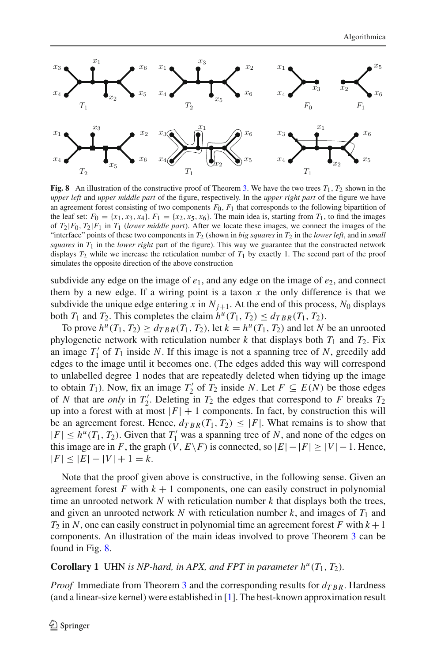

<span id="page-18-0"></span>**Fig. 8** An illustration of the constructive proof of Theorem [3.](#page-17-0) We have the two trees  $T_1$ ,  $T_2$  shown in the *upper left* and *upper middle part* of the figure, respectively. In the *upper right part* of the figure we have an agreement forest consisting of two components  $F_0$ ,  $F_1$  that corresponds to the following bipartition of the leaf set:  $F_0 = \{x_1, x_3, x_4\}$ ,  $F_1 = \{x_2, x_5, x_6\}$ . The main idea is, starting from  $T_1$ , to find the images of  $T_2|F_0, T_2|F_1$  in  $T_1$  (*lower middle part*). After we locate these images, we connect the images of the "interface" points of these two components in  $T_2$  (shown in *big squares* in  $T_2$  in the *lower left*, and in *small squares* in  $T_1$  in the *lower right* part of the figure). This way we guarantee that the constructed network displays  $T_2$  while we increase the reticulation number of  $T_1$  by exactly 1. The second part of the proof simulates the opposite direction of the above construction

subdivide any edge on the image of  $e_1$ , and any edge on the image of  $e_2$ , and connect them by a new edge. If a wiring point is a taxon  $x$  the only difference is that we subdivide the unique edge entering *x* in  $N_{j+1}$ . At the end of this process,  $N_0$  displays both  $T_1$  and  $T_2$ . This completes the claim  $h^u(T_1, T_2) \le d_{TBR}(T_1, T_2)$ .

To prove  $h^u(T_1, T_2) \ge d_{TBR}(T_1, T_2)$ , let  $k = h^u(T_1, T_2)$  and let *N* be an unrooted phylogenetic network with reticulation number  $k$  that displays both  $T_1$  and  $T_2$ . Fix an image  $T_1'$  of  $T_1$  inside N. If this image is not a spanning tree of N, greedily add edges to the image until it becomes one. (The edges added this way will correspond to unlabelled degree 1 nodes that are repeatedly deleted when tidying up the image to obtain *T*<sub>1</sub>). Now, fix an image *T*<sub>2</sub><sup>'</sup> of *T*<sub>2</sub> inside *N*. Let  $F \subseteq E(N)$  be those edges of *N* that are *only* in  $T_2'$ . Deleting in  $T_2$  the edges that correspond to *F* breaks  $T_2$ up into a forest with at most  $|F| + 1$  components. In fact, by construction this will be an agreement forest. Hence,  $d_{TRR}(T_1, T_2) \leq |F|$ . What remains is to show that  $|F| \leq h^u(T_1, T_2)$ . Given that  $T'_1$  was a spanning tree of *N*, and none of the edges on this image are in *F*, the graph  $(V, E\ F)$  is connected, so  $|E|-|F| \geq |V|-1$ . Hence,  $|F|$  ≤  $|E|$  −  $|V|$  + 1 = *k*.

Note that the proof given above is constructive, in the following sense. Given an agreement forest  $F$  with  $k + 1$  components, one can easily construct in polynomial time an unrooted network *N* with reticulation number *k* that displays both the trees, and given an unrooted network  $N$  with reticulation number  $k$ , and images of  $T_1$  and  $T_2$  in *N*, one can easily construct in polynomial time an agreement forest *F* with  $k+1$ components. An illustration of the main ideas involved to prove Theorem [3](#page-17-0) can be found in Fig. [8.](#page-18-0)

### **Corollary 1** UHN is NP-hard, in APX, and FPT in parameter  $h^u(T_1, T_2)$ .

*Proof* Immediate from Theorem [3](#page-17-0) and the corresponding results for  $d_{TBR}$ . Hardness (and a linear-size kernel) were established in [\[1\]](#page-28-2). The best-known approximation result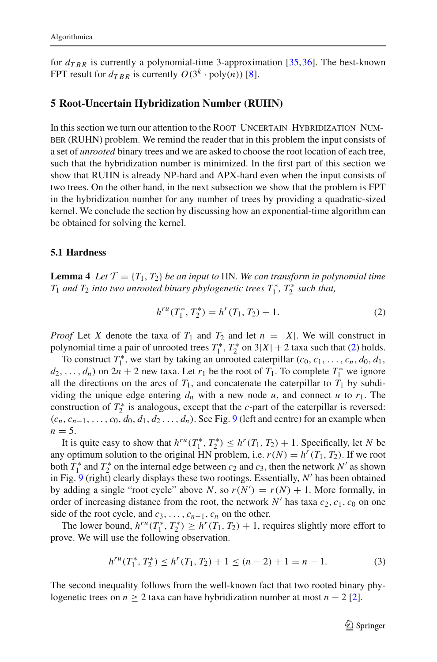for  $d_{TRR}$  is currently a polynomial-time 3-approximation [\[35,](#page-29-21)[36\]](#page-30-2). The best-known FPT result for  $d_{TRR}$  is currently  $O(3^k \cdot \text{poly}(n))$  [\[8](#page-29-19)].

### <span id="page-19-0"></span>**5 Root-Uncertain Hybridization Number (RUHN)**

In this section we turn our attention to the ROOT UNCERTAIN HYBRIDIZATION NUMber (RUHN) problem. We remind the reader that in this problem the input consists of a set of *unrooted* binary trees and we are asked to choose the root location of each tree, such that the hybridization number is minimized. In the first part of this section we show that RUHN is already NP-hard and APX-hard even when the input consists of two trees. On the other hand, in the next subsection we show that the problem is FPT in the hybridization number for any number of trees by providing a quadratic-sized kernel. We conclude the section by discussing how an exponential-time algorithm can be obtained for solving the kernel.

### <span id="page-19-2"></span>**5.1 Hardness**

**Lemma 4** *Let*  $\mathcal{T} = \{T_1, T_2\}$  *be an input to* HN. We can transform in polynomial time  $T_1$  *and*  $T_2$  *into two unrooted binary phylogenetic trees*  $T_1^*$ ,  $T_2^*$  *such that,* 

<span id="page-19-1"></span>
$$
h^{ru}(T_1^*, T_2^*) = h^r(T_1, T_2) + 1.
$$
 (2)

*Proof* Let *X* denote the taxa of  $T_1$  and  $T_2$  and let  $n = |X|$ . We will construct in polynomial time a pair of unrooted trees  $T_1^*$ ,  $T_2^*$  on  $3|X| + 2$  taxa such that [\(2\)](#page-19-1) holds.

To construct  $T_1^*$ , we start by taking an unrooted caterpillar  $(c_0, c_1, \ldots, c_n, d_0, d_1,$  $d_2, \ldots, d_n$ ) on 2*n* + 2 new taxa. Let *r*<sub>1</sub> be the root of *T*<sub>1</sub>. To complete *T*<sub>1</sub><sup>\*</sup> we ignore all the directions on the arcs of  $T_1$ , and concatenate the caterpillar to  $T_1$  by subdividing the unique edge entering  $d_n$  with a new node  $u$ , and connect  $u$  to  $r_1$ . The construction of  $T_2^*$  is analogous, except that the *c*-part of the caterpillar is reversed:  $(c_n, c_{n-1}, \ldots, c_0, d_0, d_1, d_2, \ldots, d_n)$ . See Fig. [9](#page-20-0) (left and centre) for an example when  $n = 5$ .

It is quite easy to show that  $h^{ru}(T_1^*, T_2^*) \leq h^r(T_1, T_2) + 1$ . Specifically, let *N* be any optimum solution to the original HN problem, i.e.  $r(N) = h^r(T_1, T_2)$ . If we root both  $T_1^*$  and  $T_2^*$  on the internal edge between  $c_2$  and  $c_3$ , then the network  $N'$  as shown in Fig. [9](#page-20-0) (right) clearly displays these two rootings. Essentially, N' has been obtained by adding a single "root cycle" above *N*, so  $r(N') = r(N) + 1$ . More formally, in order of increasing distance from the root, the network  $N'$  has taxa  $c_2$ ,  $c_1$ ,  $c_0$  on one side of the root cycle, and  $c_3$ , ...,  $c_{n-1}$ ,  $c_n$  on the other.

The lower bound,  $h^{ru}(T_1^*, T_2^*) \geq h^r(T_1, T_2) + 1$ , requires slightly more effort to prove. We will use the following observation.

$$
h^{ru}(T_1^*, T_2^*) \le h^r(T_1, T_2) + 1 \le (n - 2) + 1 = n - 1.
$$
 (3)

The second inequality follows from the well-known fact that two rooted binary phylogenetic trees on  $n \geq 2$  taxa can have hybridization number at most  $n - 2$  [\[2](#page-28-4)].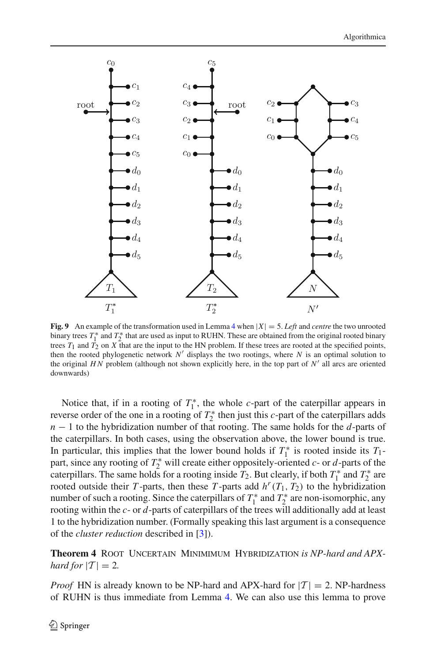

<span id="page-20-0"></span>**Fig. 9** An example of the transformation used in Lemma [4](#page-19-2) when  $|X| = 5$ . Left and *centre* the two unrooted binary trees  $T_1^*$  and  $T_2^*$  that are used as input to RUHN. These are obtained from the original rooted binary trees  $T_1$  and  $T_2$  on *X* that are the input to the HN problem. If these trees are rooted at the specified points, then the rooted phylogenetic network  $N'$  displays the two rootings, where  $N$  is an optimal solution to the original *HN* problem (although not shown explicitly here, in the top part of  $N'$  all arcs are oriented downwards)

Notice that, if in a rooting of  $T_1^*$ , the whole *c*-part of the caterpillar appears in reverse order of the one in a rooting of  $T_2^*$  then just this *c*-part of the caterpillars adds *n* − 1 to the hybridization number of that rooting. The same holds for the *d*-parts of the caterpillars. In both cases, using the observation above, the lower bound is true. In particular, this implies that the lower bound holds if  $T_1^*$  is rooted inside its  $T_1$ part, since any rooting of  $T_2^*$  will create either oppositely-oriented  $c$ - or  $d$ -parts of the caterpillars. The same holds for a rooting inside  $T_2$ . But clearly, if both  $T_1^*$  and  $T_2^*$  are rooted outside their *T*-parts, then these *T*-parts add  $h^r(T_1, T_2)$  to the hybridization number of such a rooting. Since the caterpillars of  $T_1^*$  and  $T_2^*$  are non-isomorphic, any rooting within the *c*- or *d*-parts of caterpillars of the trees will additionally add at least 1 to the hybridization number. (Formally speaking this last argument is a consequence of the *cluster reduction* described in [\[3](#page-28-5)]).

<span id="page-20-1"></span>**Theorem 4** ROOT UNCERTAIN MINIMUM HYBRIDIZATION *is NP-hard and APXhard for*  $|T| = 2$ *.* 

*Proof* HN is already known to be NP-hard and APX-hard for  $|T| = 2$ . NP-hardness of RUHN is thus immediate from Lemma [4.](#page-19-2) We can also use this lemma to prove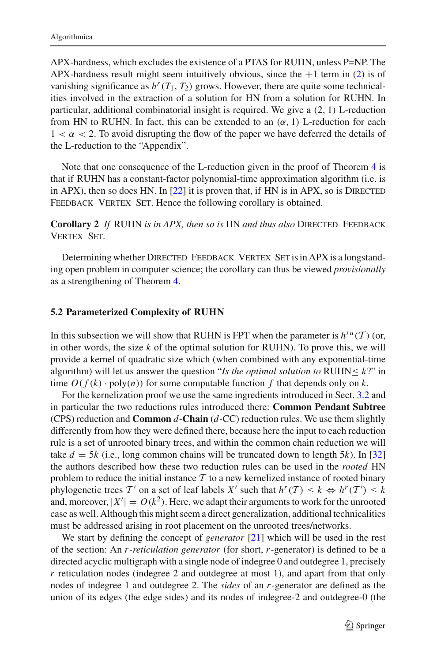APX-hardness, which excludes the existence of a PTAS for RUHN, unless P=NP. The APX-hardness result might seem intuitively obvious, since the  $+1$  term in [\(2\)](#page-19-1) is of vanishing significance as  $h^r(T_1, T_2)$  grows. However, there are quite some technicalities involved in the extraction of a solution for HN from a solution for RUHN. In particular, additional combinatorial insight is required. We give a (2, 1) L-reduction from HN to RUHN. In fact, this can be extended to an  $(\alpha, 1)$  L-reduction for each  $1 < \alpha < 2$ . To avoid disrupting the flow of the paper we have deferred the details of the L-reduction to the "Appendix".

Note that one consequence of the L-reduction given in the proof of Theorem [4](#page-20-1) is that if RUHN has a constant-factor polynomial-time approximation algorithm (i.e. is in APX), then so does HN. In  $[22]$  $[22]$  it is proven that, if HN is in APX, so is DIRECTED FEEDBACK VERTEX SET. Hence the following corollary is obtained.

**Corollary 2** *If* RUHN *is in APX, then so is* HN *and thus also* Directed Feedback Vertex Set*.*

Determining whether DIRECTED FEEDBACK VERTEX SET is in APX is a longstanding open problem in computer science; the corollary can thus be viewed *provisionally* as a strengthening of Theorem [4.](#page-20-1)

### **5.2 Parameterized Complexity of RUHN**

In this subsection we will show that RUHN is FPT when the parameter is  $h^{ru}(T)$  (or, in other words, the size *k* of the optimal solution for RUHN). To prove this, we will provide a kernel of quadratic size which (when combined with any exponential-time algorithm) will let us answer the question "*Is the optimal solution to* RUHN $\leq k$ ?" in time  $O(f(k) \cdot \text{poly}(n))$  for some computable function f that depends only on k.

For the kernelization proof we use the same ingredients introduced in Sect. [3.2](#page-8-1) and in particular the two reductions rules introduced there: **Common Pendant Subtree** (CPS) reduction and **Common** *d*-**Chain** (*d*-CC) reduction rules. We use them slightly differently from how they were defined there, because here the input to each reduction rule is a set of unrooted binary trees, and within the common chain reduction we will take  $d = 5k$  (i.e., long common chains will be truncated down to length 5*k*). In [\[32\]](#page-29-22) the authors described how these two reduction rules can be used in the *rooted* HN problem to reduce the initial instance *T* to a new kernelized instance of rooted binary phylogenetic trees  $T'$  on a set of leaf labels  $X'$  such that  $h^r(T) \leq k \Leftrightarrow h^r(T') \leq k$ and, moreover,  $|X'| = O(k^2)$ . Here, we adapt their arguments to work for the unrooted case as well. Although this might seem a direct generalization, additional technicalities must be addressed arising in root placement on the unrooted trees/networks.

We start by defining the concept of *generator* [\[21\]](#page-29-27) which will be used in the rest of the section: An *r*-*reticulation generator* (for short, *r*-generator) is defined to be a directed acyclic multigraph with a single node of indegree 0 and outdegree 1, precisely *r* reticulation nodes (indegree 2 and outdegree at most 1), and apart from that only nodes of indegree 1 and outdegree 2. The *sides* of an *r*-generator are defined as the union of its edges (the edge sides) and its nodes of indegree-2 and outdegree-0 (the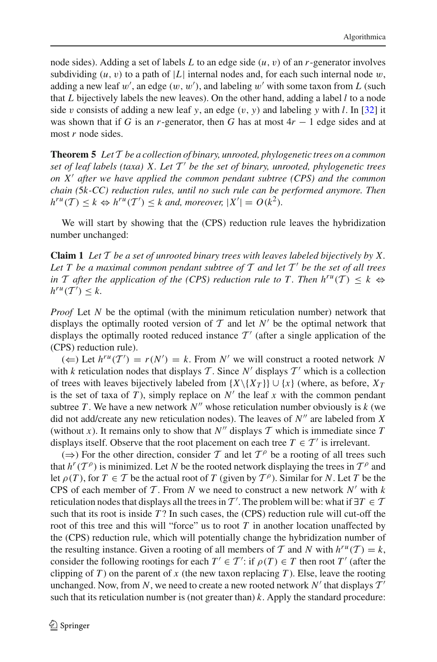node sides). Adding a set of labels *L* to an edge side (*u*, v) of an *r*-generator involves subdividing  $(u, v)$  to a path of |L| internal nodes and, for each such internal node w, adding a new leaf  $w'$ , an edge  $(w, w')$ , and labeling  $w'$  with some taxon from  $L$  (such that *L* bijectively labels the new leaves). On the other hand, adding a label *l* to a node side *v* consists of adding a new leaf *y*, an edge  $(v, y)$  and labeling *y* with *l*. In [\[32\]](#page-29-22) it was shown that if *G* is an *r*-generator, then *G* has at most  $4r - 1$  edge sides and at most *r* node sides.

<span id="page-22-0"></span>**Theorem 5** *Let T be a collection of binary, unrooted, phylogenetic trees on a common set of leaf labels (taxa) X. Let T be the set of binary, unrooted, phylogenetic trees on X after we have applied the common pendant subtree (CPS) and the common chain (*5*k-CC) reduction rules, until no such rule can be performed anymore. Then*  $h^{ru}(T) \leq k \Leftrightarrow h^{ru}(T') \leq k$  and, moreover,  $|X'| = O(k^2)$ .

We will start by showing that the (CPS) reduction rule leaves the hybridization number unchanged:

**Claim 1** *Let T be a set of unrooted binary trees with leaves labeled bijectively by X. Let T be a maximal common pendant subtree of T and let T be the set of all trees in T* after the application of the (CPS) reduction rule to T. Then  $h^{ru}(T) \leq k \Leftrightarrow$  $h^{ru}(\mathcal{T}') \leq k.$ 

*Proof* Let *N* be the optimal (with the minimum reticulation number) network that displays the optimally rooted version of  $T$  and let  $N'$  be the optimal network that displays the optimally rooted reduced instance  $T'$  (after a single application of the (CPS) reduction rule).

(←) Let  $h^{ru}(T') = r(N') = k$ . From *N'* we will construct a rooted network *N* with *k* reticulation nodes that displays  $\mathcal T$ . Since  $N'$  displays  $\mathcal T'$  which is a collection of trees with leaves bijectively labeled from  $\{X\setminus\{X_T\}\}\cup\{x\}$  (where, as before,  $X_T$ is the set of taxa of *T*), simply replace on  $N'$  the leaf *x* with the common pendant subtree *T*. We have a new network  $N''$  whose reticulation number obviously is  $k$  (we did not add/create any new reticulation nodes). The leaves of  $N''$  are labeled from  $\overline{X}$ (without *x*). It remains only to show that  $N''$  displays  $T$  which is immediate since  $T$ displays itself. Observe that the root placement on each tree  $T \in \mathcal{T}'$  is irrelevant.

 $(\Rightarrow)$  For the other direction, consider *T* and let  $T^{\rho}$  be a rooting of all trees such that  $h^r(T^{\rho})$  is minimized. Let *N* be the rooted network displaying the trees in  $T^{\rho}$  and let  $\rho(T)$ , for  $T \in T$  be the actual root of  $T$  (given by  $T^{\rho}$ ). Similar for *N*. Let  $T$  be the CPS of each member of  $\mathcal T$ . From  $N$  we need to construct a new network  $N'$  with  $k$ reticulation nodes that displays all the trees in *T'*. The problem will be: what if  $\exists T \in T$ such that its root is inside *T* ? In such cases, the (CPS) reduction rule will cut-off the root of this tree and this will "force" us to root *T* in another location unaffected by the (CPS) reduction rule, which will potentially change the hybridization number of the resulting instance. Given a rooting of all members of  $T$  and  $N$  with  $h^{ru}(T) = k$ , consider the following rootings for each  $T' \in T'$ : if  $\rho(T) \in T$  then root  $T'$  (after the clipping of *T*) on the parent of *x* (the new taxon replacing *T*). Else, leave the rooting unchanged. Now, from N, we need to create a new rooted network  $N'$  that displays  $T'$ such that its reticulation number is (not greater than)  $k$ . Apply the standard procedure: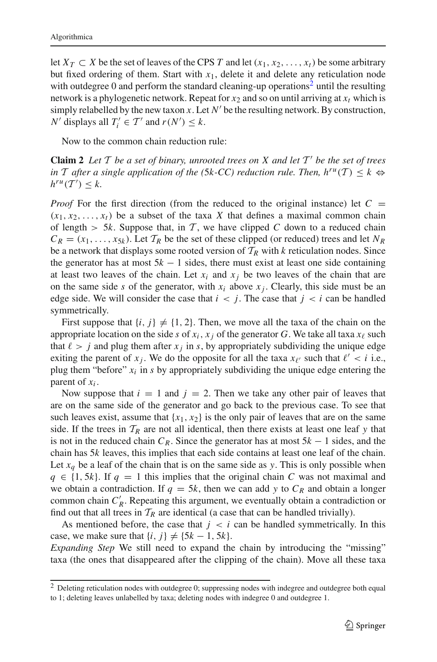let  $X_T \subset X$  be the set of leaves of the CPS *T* and let  $(x_1, x_2, \ldots, x_t)$  be some arbitrary but fixed ordering of them. Start with  $x_1$ , delete it and delete any reticulation node with outdegree 0 and perform the standard cleaning-up operations<sup>[2](#page-23-0)</sup> until the resulting network is a phylogenetic network. Repeat for  $x_2$  and so on until arriving at  $x_t$  which is simply relabelled by the new taxon  $x$ . Let  $N'$  be the resulting network. By construction, *N*<sup> $\prime$ </sup> displays all  $T_i' \in T'$  and  $r(N') \leq k$ .

Now to the common chain reduction rule:

**Claim 2** *Let*  $T$  *be a set of binary, unrooted trees on*  $X$  *and let*  $T'$  *be the set of trees in T after a single application of the (5k-CC) reduction rule. Then,*  $h^{ru}(T) \leq k \Leftrightarrow$  $h^{ru}(\mathcal{T}') \leq k.$ 

*Proof* For the first direction (from the reduced to the original instance) let  $C =$  $(x_1, x_2, \ldots, x_t)$  be a subset of the taxa *X* that defines a maximal common chain of length  $> 5k$ . Suppose that, in T, we have clipped C down to a reduced chain  $C_R = (x_1, \ldots, x_{5k})$ . Let  $T_R$  be the set of these clipped (or reduced) trees and let  $N_R$ be a network that displays some rooted version of  $T_R$  with *k* reticulation nodes. Since the generator has at most  $5k - 1$  sides, there must exist at least one side containing at least two leaves of the chain. Let  $x_i$  and  $x_j$  be two leaves of the chain that are on the same side *s* of the generator, with  $x_i$  above  $x_j$ . Clearly, this side must be an edge side. We will consider the case that  $i < j$ . The case that  $j < i$  can be handled symmetrically.

First suppose that  $\{i, j\} \neq \{1, 2\}$ . Then, we move all the taxa of the chain on the appropriate location on the side *s* of  $x_i$ ,  $x_j$  of the generator *G*. We take all taxa  $x_\ell$  such that  $\ell > j$  and plug them after  $x_j$  in *s*, by appropriately subdividing the unique edge exiting the parent of  $x_j$ . We do the opposite for all the taxa  $x_{\ell'}$  such that  $\ell' < i$  i.e., plug them "before"  $x_i$  in  $s$  by appropriately subdividing the unique edge entering the parent of  $x_i$ .

Now suppose that  $i = 1$  and  $j = 2$ . Then we take any other pair of leaves that are on the same side of the generator and go back to the previous case. To see that such leaves exist, assume that  ${x_1, x_2}$  is the only pair of leaves that are on the same side. If the trees in  $T_R$  are not all identical, then there exists at least one leaf y that is not in the reduced chain  $C_R$ . Since the generator has at most  $5k - 1$  sides, and the chain has 5*k* leaves, this implies that each side contains at least one leaf of the chain. Let  $x_q$  be a leaf of the chain that is on the same side as *y*. This is only possible when  $q \in \{1, 5k\}$ . If  $q = 1$  this implies that the original chain *C* was not maximal and we obtain a contradiction. If  $q = 5k$ , then we can add y to  $C_R$  and obtain a longer common chain  $C'_R$ . Repeating this argument, we eventually obtain a contradiction or find out that all trees in  $T_R$  are identical (a case that can be handled trivially).

As mentioned before, the case that  $j < i$  can be handled symmetrically. In this case, we make sure that  $\{i, j\} \neq \{5k - 1, 5k\}.$ 

*Expanding Step* We still need to expand the chain by introducing the "missing" taxa (the ones that disappeared after the clipping of the chain). Move all these taxa

<span id="page-23-0"></span> $<sup>2</sup>$  Deleting reticulation nodes with outdegree 0; suppressing nodes with indegree and outdegree both equal</sup> to 1; deleting leaves unlabelled by taxa; deleting nodes with indegree 0 and outdegree 1.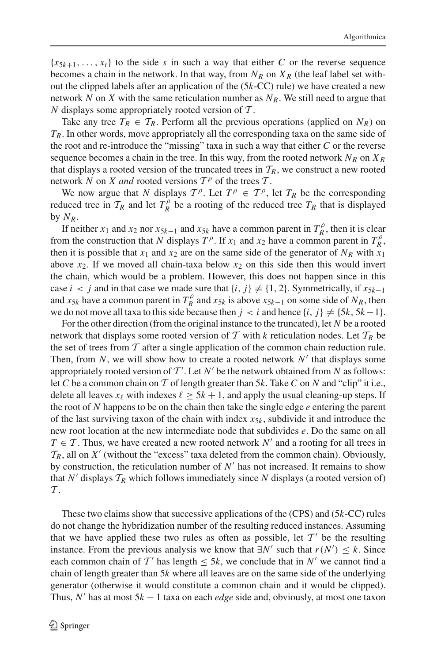${x}_{5k+1},...,x_t$  to the side *s* in such a way that either *C* or the reverse sequence becomes a chain in the network. In that way, from  $N_R$  on  $X_R$  (the leaf label set without the clipped labels after an application of the (5*k*-CC) rule) we have created a new network *N* on *X* with the same reticulation number as  $N<sub>R</sub>$ . We still need to argue that *N* displays some appropriately rooted version of *T* .

Take any tree  $T_R \in \mathcal{T}_R$ . Perform all the previous operations (applied on  $N_R$ ) on *TR*. In other words, move appropriately all the corresponding taxa on the same side of the root and re-introduce the "missing" taxa in such a way that either *C* or the reverse sequence becomes a chain in the tree. In this way, from the rooted network  $N_R$  on  $X_R$ that displays a rooted version of the truncated trees in  $T_R$ , we construct a new rooted network *N* on *X and* rooted versions  $T^{\rho}$  of the trees  $T$ .

We now argue that *N* displays  $T^{\rho}$ . Let  $T^{\rho} \in T^{\rho}$ , let  $T_R$  be the corresponding reduced tree in  $T_R$  and let  $T_R^{\hat{p}}$  be a rooting of the reduced tree  $T_R$  that is displayed by  $N_R$ .

If neither *x*<sub>1</sub> and *x*<sub>2</sub> nor *x*<sub>5*k*−1</sub> and *x*<sub>5*k*</sub> have a common parent in  $T_R^{\rho}$ , then it is clear from the construction that *N* displays  $T^{\rho}$ . If  $x_1$  and  $x_2$  have a common parent in  $T^{\rho}_R$ , then it is possible that  $x_1$  and  $x_2$  are on the same side of the generator of  $N_R$  with  $x_1$ above  $x_2$ . If we moved all chain-taxa below  $x_2$  on this side then this would invert the chain, which would be a problem. However, this does not happen since in this case *i* < *j* and in that case we made sure that  $\{i, j\} \neq \{1, 2\}$ . Symmetrically, if  $x_{5k-1}$ and *x*<sub>5*k*</sub> have a common parent in  $T_R^{\rho}$  and *x*<sub>5*k*</sub> is above *x*<sub>5*k*−1</sub> on some side of *N<sub>R</sub>*, then we do not move all taxa to this side because then  $j < i$  and hence  $\{i, j\} \neq \{5k, 5k-1\}$ .

For the other direction (from the original instance to the truncated), let *N* be a rooted network that displays some rooted version of  $T$  with  $k$  reticulation nodes. Let  $T_R$  be the set of trees from  $T$  after a single application of the common chain reduction rule. Then, from  $N$ , we will show how to create a rooted network  $N'$  that displays some appropriately rooted version of  $T'$ . Let  $N'$  be the network obtained from  $N$  as follows: let *C* be a common chain on *T* of length greater than 5*k*. Take *C* on *N* and "clip" it i.e., delete all leaves  $x_\ell$  with indexes  $\ell \geq 5k + 1$ , and apply the usual cleaning-up steps. If the root of *N* happens to be on the chain then take the single edge *e* entering the parent of the last surviving taxon of the chain with index  $x_{5k}$ , subdivide it and introduce the new root location at the new intermediate node that subdivides *e*. Do the same on all  $T \in \mathcal{T}$ . Thus, we have created a new rooted network N' and a rooting for all trees in  $\mathcal{T}_R$ , all on *X'* (without the "excess" taxa deleted from the common chain). Obviously, by construction, the reticulation number of  $N'$  has not increased. It remains to show that  $N'$  displays  $\mathcal{T}_R$  which follows immediately since  $N$  displays (a rooted version of) *T* .

These two claims show that successive applications of the (CPS) and (5*k*-CC) rules do not change the hybridization number of the resulting reduced instances. Assuming that we have applied these two rules as often as possible, let  $T'$  be the resulting instance. From the previous analysis we know that  $\exists N'$  such that  $r(N') \leq k$ . Since each common chain of  $T'$  has length  $\leq 5k$ , we conclude that in N' we cannot find a chain of length greater than 5*k* where all leaves are on the same side of the underlying generator (otherwise it would constitute a common chain and it would be clipped). Thus, *N* has at most 5*k* − 1 taxa on each *edge* side and, obviously, at most one taxon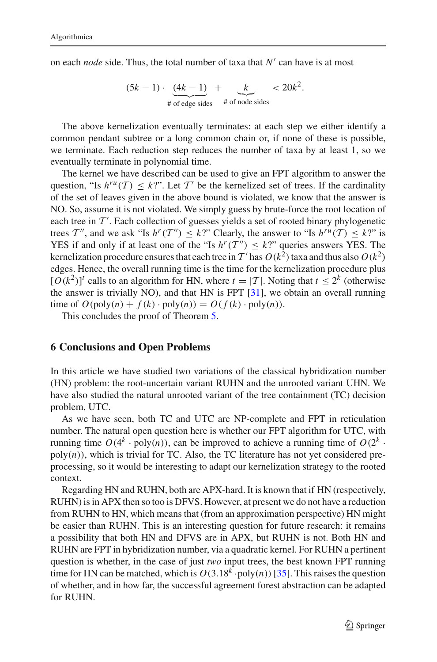on each *node* side. Thus, the total number of taxa that  $N'$  can have is at most

$$
(5k-1)\cdot \underbrace{(4k-1)}_{\text{\# of edge sides}} + \underbrace{k}_{\text{\# of node sides}} < 20k^2.
$$

The above kernelization eventually terminates: at each step we either identify a common pendant subtree or a long common chain or, if none of these is possible, we terminate. Each reduction step reduces the number of taxa by at least 1, so we eventually terminate in polynomial time.

The kernel we have described can be used to give an FPT algorithm to answer the question, "Is  $h^{ru}(T) \leq k$ ?". Let  $T'$  be the kernelized set of trees. If the cardinality of the set of leaves given in the above bound is violated, we know that the answer is NO. So, assume it is not violated. We simply guess by brute-force the root location of each tree in  $\mathcal{T}'$ . Each collection of guesses yields a set of rooted binary phylogenetic trees *T*<sup>*n*</sup>, and we ask "Is  $h^r(T'') \leq k$ ?" Clearly, the answer to "Is  $h^{ru}(T) \leq k$ ?" is YES if and only if at least one of the "Is  $h^r(T'') \leq k$ ?" queries answers YES. The kernelization procedure ensures that each tree in  $T'$  has  $O(k^2)$  taxa and thus also  $O(k^2)$ edges. Hence, the overall running time is the time for the kernelization procedure plus  $[O(k^2)]^t$  calls to an algorithm for HN, where  $t = |T|$ . Noting that  $t \le 2^k$  (otherwise the answer is trivially NO), and that HN is FPT [\[31](#page-29-12)], we obtain an overall running time of  $O(\text{poly}(n) + f(k) \cdot \text{poly}(n)) = O(f(k) \cdot \text{poly}(n)).$ 

This concludes the proof of Theorem [5.](#page-22-0)

### <span id="page-25-0"></span>**6 Conclusions and Open Problems**

In this article we have studied two variations of the classical hybridization number (HN) problem: the root-uncertain variant RUHN and the unrooted variant UHN. We have also studied the natural unrooted variant of the tree containment (TC) decision problem, UTC.

As we have seen, both TC and UTC are NP-complete and FPT in reticulation number. The natural open question here is whether our FPT algorithm for UTC, with running time  $O(4^k \cdot \text{poly}(n))$ , can be improved to achieve a running time of  $O(2^k \cdot$  $poly(n)$ , which is trivial for TC. Also, the TC literature has not yet considered preprocessing, so it would be interesting to adapt our kernelization strategy to the rooted context.

Regarding HN and RUHN, both are APX-hard. It is known that if HN (respectively, RUHN) is in APX then so too is DFVS. However, at present we do not have a reduction from RUHN to HN, which means that (from an approximation perspective) HN might be easier than RUHN. This is an interesting question for future research: it remains a possibility that both HN and DFVS are in APX, but RUHN is not. Both HN and RUHN are FPT in hybridization number, via a quadratic kernel. For RUHN a pertinent question is whether, in the case of just *two* input trees, the best known FPT running time for HN can be matched, which is  $O(3.18<sup>k</sup> \cdot \text{poly}(n))$  [\[35](#page-29-21)]. This raises the question of whether, and in how far, the successful agreement forest abstraction can be adapted for RUHN.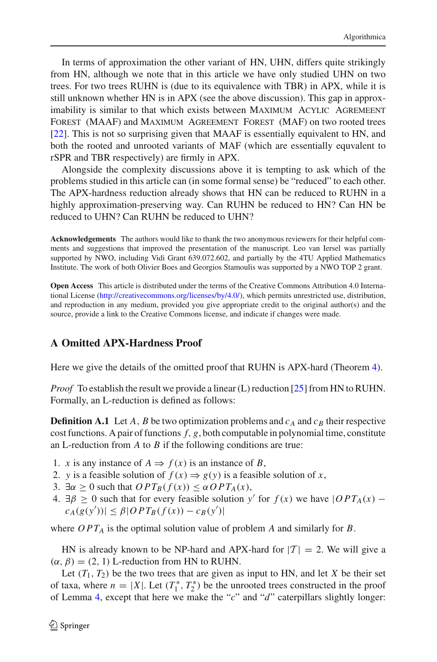In terms of approximation the other variant of HN, UHN, differs quite strikingly from HN, although we note that in this article we have only studied UHN on two trees. For two trees RUHN is (due to its equivalence with TBR) in APX, while it is still unknown whether HN is in APX (see the above discussion). This gap in approximability is similar to that which exists between MAXIMUM ACYLIC AGREMEENT Forest (MAAF) and Maximum Agreement Forest (MAF) on two rooted trees [\[22](#page-29-8)]. This is not so surprising given that MAAF is essentially equivalent to HN, and both the rooted and unrooted variants of MAF (which are essentially equvalent to rSPR and TBR respectively) are firmly in APX.

Alongside the complexity discussions above it is tempting to ask which of the problems studied in this article can (in some formal sense) be "reduced" to each other. The APX-hardness reduction already shows that HN can be reduced to RUHN in a highly approximation-preserving way. Can RUHN be reduced to HN? Can HN be reduced to UHN? Can RUHN be reduced to UHN?

**Acknowledgements** The authors would like to thank the two anonymous reviewers for their helpful comments and suggestions that improved the presentation of the manuscript. Leo van Iersel was partially supported by NWO, including Vidi Grant 639.072.602, and partially by the 4TU Applied Mathematics Institute. The work of both Olivier Boes and Georgios Stamoulis was supported by a NWO TOP 2 grant.

**Open Access** This article is distributed under the terms of the Creative Commons Attribution 4.0 International License [\(http://creativecommons.org/licenses/by/4.0/\)](http://creativecommons.org/licenses/by/4.0/), which permits unrestricted use, distribution, and reproduction in any medium, provided you give appropriate credit to the original author(s) and the source, provide a link to the Creative Commons license, and indicate if changes were made.

# **A Omitted APX-Hardness Proof**

Here we give the details of the omitted proof that RUHN is APX-hard (Theorem [4\)](#page-20-1).

*Proof* To establish the result we provide a linear (L) reduction [\[25\]](#page-29-28) from HN to RUHN. Formally, an L-reduction is defined as follows:

**Definition A.1** Let *A*, *B* be two optimization problems and  $c_A$  and  $c_B$  their respective cost functions. A pair of functions  $f$ ,  $g$ , both computable in polynomial time, constitute an L-reduction from *A* to *B* if the following conditions are true:

- 1. *x* is any instance of  $A \Rightarrow f(x)$  is an instance of *B*,
- 2. *y* is a feasible solution of  $f(x) \Rightarrow g(y)$  is a feasible solution of *x*,
- 3.  $\exists \alpha \geq 0$  such that  $OPT_B(f(x)) \leq \alpha OPT_A(x)$ ,
- 4.  $\exists \beta \ge 0$  such that for every feasible solution *y'* for  $f(x)$  we have  $|OPT_A(x)$  $c_A(g(y'))| \leq \beta |OPT_B(f(x)) - c_B(y')|$

where  $OPT_A$  is the optimal solution value of problem *A* and similarly for *B*.

HN is already known to be NP-hard and APX-hard for  $|T| = 2$ . We will give a  $(\alpha, \beta) = (2, 1)$  L-reduction from HN to RUHN.

Let  $(T_1, T_2)$  be the two trees that are given as input to HN, and let *X* be their set of taxa, where  $n = |X|$ . Let  $(T_1^*, T_2^*)$  be the unrooted trees constructed in the proof of Lemma [4,](#page-19-2) except that here we make the "*c*" and "*d*" caterpillars slightly longer: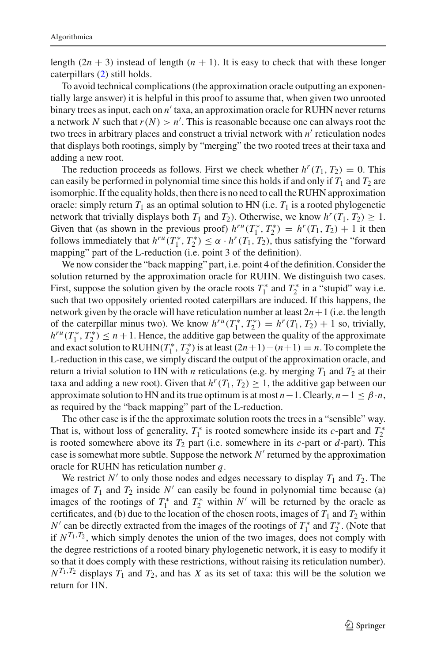length  $(2n + 3)$  instead of length  $(n + 1)$ . It is easy to check that with these longer caterpillars [\(2\)](#page-19-1) still holds.

To avoid technical complications (the approximation oracle outputting an exponentially large answer) it is helpful in this proof to assume that, when given two unrooted binary trees as input, each on *n'* taxa, an approximation oracle for RUHN never returns a network *N* such that *r*(*N*) > *n* . This is reasonable because one can always root the two trees in arbitrary places and construct a trivial network with *n'* reticulation nodes that displays both rootings, simply by "merging" the two rooted trees at their taxa and adding a new root.

The reduction proceeds as follows. First we check whether  $h^{r}(T_1, T_2) = 0$ . This can easily be performed in polynomial time since this holds if and only if *T*<sup>1</sup> and *T*<sup>2</sup> are isomorphic. If the equality holds, then there is no need to call theRUHN approximation oracle: simply return  $T_1$  as an optimal solution to HN (i.e.  $T_1$  is a rooted phylogenetic network that trivially displays both  $T_1$  and  $T_2$ ). Otherwise, we know  $h^r(T_1, T_2) \geq 1$ . Given that (as shown in the previous proof)  $h^{ru}(T_1^*, T_2^*) = h^r(T_1, T_2) + 1$  it then follows immediately that  $h^{ru}(T_1^*, T_2^*) \leq \alpha \cdot h^r(T_1, T_2)$ , thus satisfying the "forward mapping" part of the L-reduction (i.e. point 3 of the definition).

We now consider the "back mapping" part, i.e. point 4 of the definition. Consider the solution returned by the approximation oracle for RUHN. We distinguish two cases. First, suppose the solution given by the oracle roots  $T_1^*$  and  $T_2^*$  in a "stupid" way i.e. such that two oppositely oriented rooted caterpillars are induced. If this happens, the network given by the oracle will have reticulation number at least  $2n+1$  (i.e. the length of the caterpillar minus two). We know  $h^{ru}(T_1^*, T_2^*) = h^r(T_1, T_2) + 1$  so, trivially,  $h^{ru}(T_1^*, T_2^*) \leq n+1$ . Hence, the additive gap between the quality of the approximate and exact solution to RUHN( $T_1^*$ ,  $T_2^*$ ) is at least  $(2n+1)-(n+1) = n$ . To complete the L-reduction in this case, we simply discard the output of the approximation oracle, and return a trivial solution to HN with *n* reticulations (e.g. by merging  $T_1$  and  $T_2$  at their taxa and adding a new root). Given that  $h^r(T_1, T_2) \geq 1$ , the additive gap between our approximate solution to HN and its true optimum is at most  $n-1$ . Clearly,  $n-1 \leq \beta \cdot n$ , as required by the "back mapping" part of the L-reduction.

The other case is if the the approximate solution roots the trees in a "sensible" way. That is, without loss of generality,  $T_1^*$  is rooted somewhere inside its *c*-part and  $T_2^*$ is rooted somewhere above its  $T_2$  part (i.e. somewhere in its *c*-part or *d*-part). This case is somewhat more subtle. Suppose the network *N* returned by the approximation oracle for RUHN has reticulation number *q*.

We restrict  $N'$  to only those nodes and edges necessary to display  $T_1$  and  $T_2$ . The images of  $T_1$  and  $T_2$  inside  $N'$  can easily be found in polynomial time because (a) images of the rootings of  $T_1^*$  and  $T_2^*$  within *N'* will be returned by the oracle as certificates, and (b) due to the location of the chosen roots, images of  $T_1$  and  $T_2$  within *N'* can be directly extracted from the images of the rootings of  $T_1^*$  and  $T_2^*$ . (Note that if  $N^{T_1,T_2}$ , which simply denotes the union of the two images, does not comply with the degree restrictions of a rooted binary phylogenetic network, it is easy to modify it so that it does comply with these restrictions, without raising its reticulation number).  $N^{T_1,T_2}$  displays  $T_1$  and  $T_2$ , and has *X* as its set of taxa: this will be the solution we return for HN.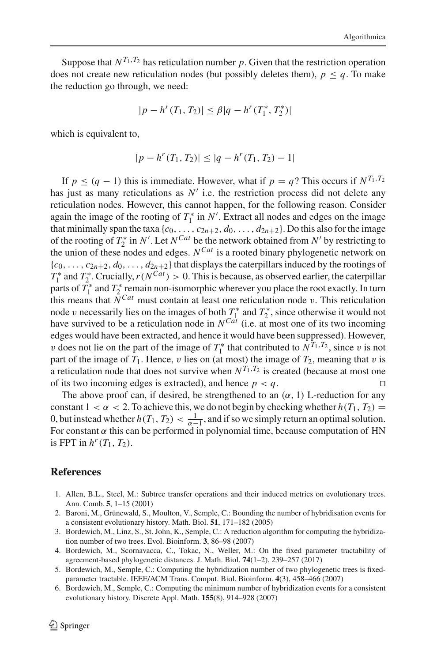Suppose that  $N^{T_1,T_2}$  has reticulation number  $p$ . Given that the restriction operation does not create new reticulation nodes (but possibly deletes them),  $p \leq q$ . To make the reduction go through, we need:

$$
|p - h^{r}(T_1, T_2)| \leq \beta |q - h^{r}(T_1^*, T_2^*)|
$$

which is equivalent to,

$$
|p - h^{r}(T_1, T_2)| \le |q - h^{r}(T_1, T_2) - 1|
$$

If  $p \le (q - 1)$  this is immediate. However, what if  $p = q$ ? This occurs if  $N^{T_1, T_2}$ has just as many reticulations as  $N'$  i.e. the restriction process did not delete any reticulation nodes. However, this cannot happen, for the following reason. Consider again the image of the rooting of  $T_1^*$  in  $N'$ . Extract all nodes and edges on the image that minimally span the taxa  $\{c_0, \ldots, c_{2n+2}, d_0, \ldots, d_{2n+2}\}$ . Do this also for the image of the rooting of  $T_2^*$  in *N'*. Let  $N^{Cat}$  be the network obtained from  $N'$  by restricting to the union of these nodes and edges. *NCat* is a rooted binary phylogenetic network on  ${c_0, \ldots, c_{2n+2}, d_0, \ldots, d_{2n+2}}$  that displays the caterpillars induced by the rootings of  $T_1^*$  and  $T_2^*$ . Crucially,  $r(N^{Cat}) > 0$ . This is because, as observed earlier, the caterpillar parts of  $T_1^*$  and  $T_2^*$  remain non-isomorphic wherever you place the root exactly. In turn this means that  $N^{Cat}$  must contain at least one reticulation node v. This reticulation node v necessarily lies on the images of both  $T_1^*$  and  $T_2^*$ , since otherwise it would not have survived to be a reticulation node in  $N^{Cat}$  (i.e. at most one of its two incoming edges would have been extracted, and hence it would have been suppressed). However, v does not lie on the part of the image of  $T_1^*$  that contributed to  $N^{T_1,T_2}$ , since v is not part of the image of  $T_1$ . Hence, v lies on (at most) the image of  $T_2$ , meaning that v is a reticulation node that does not survive when  $N^{T_1,T_2}$  is created (because at most one of its two incoming edges is extracted), and hence  $p < q$ .

The above proof can, if desired, be strengthened to an  $(\alpha, 1)$  L-reduction for any constant  $1 < \alpha < 2$ . To achieve this, we do not begin by checking whether  $h(T_1, T_2) =$ 0, but instead whether  $h(T_1, T_2) < \frac{1}{\alpha - 1}$ , and if so we simply return an optimal solution. For constant  $\alpha$  this can be performed in polynomial time, because computation of HN is FPT in  $h^r(T_1, T_2)$ .

### **References**

- <span id="page-28-2"></span>1. Allen, B.L., Steel, M.: Subtree transfer operations and their induced metrics on evolutionary trees. Ann. Comb. **5**, 1–15 (2001)
- <span id="page-28-4"></span>2. Baroni, M., Grünewald, S., Moulton, V., Semple, C.: Bounding the number of hybridisation events for a consistent evolutionary history. Math. Biol. **51**, 171–182 (2005)
- <span id="page-28-5"></span>3. Bordewich, M., Linz, S., St. John, K., Semple, C.: A reduction algorithm for computing the hybridization number of two trees. Evol. Bioinform. **3**, 86–98 (2007)
- <span id="page-28-3"></span>4. Bordewich, M., Scornavacca, C., Tokac, N., Weller, M.: On the fixed parameter tractability of agreement-based phylogenetic distances. J. Math. Biol. **74**(1–2), 239–257 (2017)
- <span id="page-28-1"></span>5. Bordewich, M., Semple, C.: Computing the hybridization number of two phylogenetic trees is fixedparameter tractable. IEEE/ACM Trans. Comput. Biol. Bioinform. **4**(3), 458–466 (2007)
- <span id="page-28-0"></span>6. Bordewich, M., Semple, C.: Computing the minimum number of hybridization events for a consistent evolutionary history. Discrete Appl. Math. **155**(8), 914–928 (2007)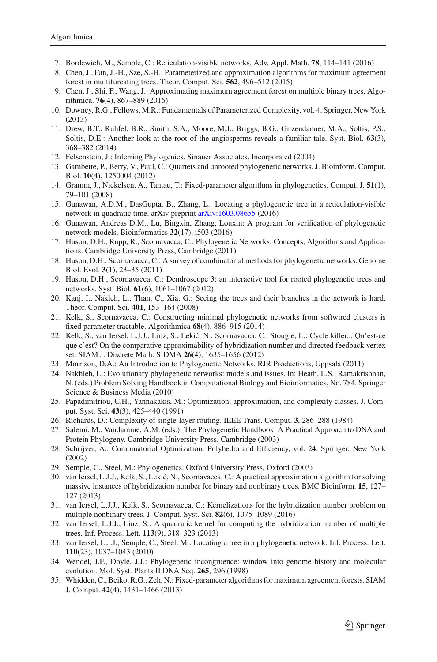- <span id="page-29-15"></span>7. Bordewich, M., Semple, C.: Reticulation-visible networks. Adv. Appl. Math. **78**, 114–141 (2016)
- <span id="page-29-19"></span>8. Chen, J., Fan, J.-H., Sze, S.-H.: Parameterized and approximation algorithms for maximum agreement forest in multifurcating trees. Theor. Comput. Sci. **562**, 496–512 (2015)
- <span id="page-29-20"></span>9. Chen, J., Shi, F., Wang, J.: Approximating maximum agreement forest on multiple binary trees. Algorithmica. **76**(4), 867–889 (2016)
- <span id="page-29-9"></span>10. Downey, R.G., Fellows, M.R.: Fundamentals of Parameterized Complexity, vol. 4. Springer, New York (2013)
- <span id="page-29-4"></span>11. Drew, B.T., Ruhfel, B.R., Smith, S.A., Moore, M.J., Briggs, B.G., Gitzendanner, M.A., Soltis, P.S., Soltis, D.E.: Another look at the root of the angiosperms reveals a familiar tale. Syst. Biol. **63**(3), 368–382 (2014)
- <span id="page-29-0"></span>12. Felsenstein, J.: Inferring Phylogenies. Sinauer Associates, Incorporated (2004)
- <span id="page-29-14"></span>13. Gambette, P., Berry, V., Paul, C.: Quartets and unrooted phylogenetic networks. J. Bioinform. Comput. Biol. **10**(4), 1250004 (2012)
- <span id="page-29-10"></span>14. Gramm, J., Nickelsen, A., Tantau, T.: Fixed-parameter algorithms in phylogenetics. Comput. J. **51**(1), 79–101 (2008)
- <span id="page-29-16"></span>15. Gunawan, A.D.M., DasGupta, B., Zhang, L.: Locating a phylogenetic tree in a reticulation-visible network in quadratic time. arXiv preprint [arXiv:1603.08655](http://arxiv.org/abs/1603.08655) (2016)
- <span id="page-29-26"></span>16. Gunawan, Andreas D.M., Lu, Bingxin, Zhang, Louxin: A program for verification of phylogenetic network models. Bioinformatics **32**(17), i503 (2016)
- <span id="page-29-5"></span>17. Huson, D.H., Rupp, R., Scornavacca, C.: Phylogenetic Networks: Concepts, Algorithms and Applications. Cambridge University Press, Cambridge (2011)
- <span id="page-29-6"></span>18. Huson, D.H., Scornavacca, C.: A survey of combinatorial methods for phylogenetic networks. Genome Biol. Evol. **3**(1), 23–35 (2011)
- <span id="page-29-23"></span>19. Huson, D.H., Scornavacca, C.: Dendroscope 3: an interactive tool for rooted phylogenetic trees and networks. Syst. Biol. **61**(6), 1061–1067 (2012)
- <span id="page-29-18"></span>20. Kanj, I., Nakleh, L., Than, C., Xia, G.: Seeing the trees and their branches in the network is hard. Theor. Comput. Sci. **401**, 153–164 (2008)
- <span id="page-29-27"></span>21. Kelk, S., Scornavacca, C.: Constructing minimal phylogenetic networks from softwired clusters is fixed parameter tractable. Algorithmica **68**(4), 886–915 (2014)
- <span id="page-29-8"></span>22. Kelk, S., van Iersel, L.J.J., Linz, S., Lekić, N., Scornavacca, C., Stougie, L.: Cycle killer... Qu'est-ce que c'est? On the comparative approximability of hybridization number and directed feedback vertex set. SIAM J. Discrete Math. SIDMA **26**(4), 1635–1656 (2012)
- <span id="page-29-2"></span>23. Morrison, D.A.: An Introduction to Phylogenetic Networks. RJR Productions, Uppsala (2011)
- <span id="page-29-7"></span>24. Nakhleh, L.: Evolutionary phylogenetic networks: models and issues. In: Heath, L.S., Ramakrishnan, N. (eds.) Problem Solving Handbook in Computational Biology and Bioinformatics, No. 784. Springer Science & Business Media (2010)
- <span id="page-29-28"></span>25. Papadimitriou, C.H., Yannakakis, M.: Optimization, approximation, and complexity classes. J. Comput. Syst. Sci. **43**(3), 425–440 (1991)
- <span id="page-29-24"></span>26. Richards, D.: Complexity of single-layer routing. IEEE Trans. Comput. **3**, 286–288 (1984)
- <span id="page-29-3"></span>27. Salemi, M., Vandamme, A.M. (eds.): The Phylogenetic Handbook. A Practical Approach to DNA and Protein Phylogeny. Cambridge University Press, Cambridge (2003)
- <span id="page-29-25"></span>28. Schrijver, A.: Combinatorial Optimization: Polyhedra and Efficiency, vol. 24. Springer, New York (2002)
- <span id="page-29-1"></span>29. Semple, C., Steel, M.: Phylogenetics. Oxford University Press, Oxford (2003)
- <span id="page-29-11"></span>30. van Iersel, L.J.J., Kelk, S., Leki´c, N., Scornavacca, C.: A practical approximation algorithm for solving massive instances of hybridization number for binary and nonbinary trees. BMC Bioinform. **15**, 127– 127 (2013)
- <span id="page-29-12"></span>31. van Iersel, L.J.J., Kelk, S., Scornavacca, C.: Kernelizations for the hybridization number problem on multiple nonbinary trees. J. Comput. Syst. Sci. **82**(6), 1075–1089 (2016)
- <span id="page-29-22"></span>32. van Iersel, L.J.J., Linz, S.: A quadratic kernel for computing the hybridization number of multiple trees. Inf. Process. Lett. **113**(9), 318–323 (2013)
- <span id="page-29-17"></span>33. van Iersel, L.J.J., Semple, C., Steel, M.: Locating a tree in a phylogenetic network. Inf. Process. Lett. **110**(23), 1037–1043 (2010)
- <span id="page-29-13"></span>34. Wendel, J.F., Doyle, J.J.: Phylogenetic incongruence: window into genome history and molecular evolution. Mol. Syst. Plants II DNA Seq. **265**, 296 (1998)
- <span id="page-29-21"></span>35. Whidden, C., Beiko, R.G., Zeh, N.: Fixed-parameter algorithms for maximum agreement forests. SIAM J. Comput. **42**(4), 1431–1466 (2013)